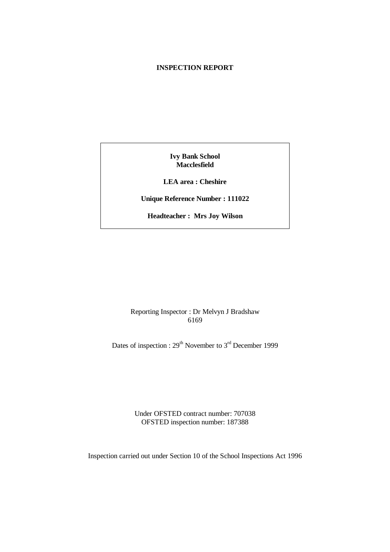#### **INSPECTION REPORT**

**Ivy Bank School Macclesfield**

**LEA area : Cheshire**

**Unique Reference Number : 111022**

**Headteacher : Mrs Joy Wilson**

Reporting Inspector : Dr Melvyn J Bradshaw 6169

Dates of inspection :  $29<sup>th</sup>$  November to 3<sup>rd</sup> December 1999

Under OFSTED contract number: 707038 OFSTED inspection number: 187388

Inspection carried out under Section 10 of the School Inspections Act 1996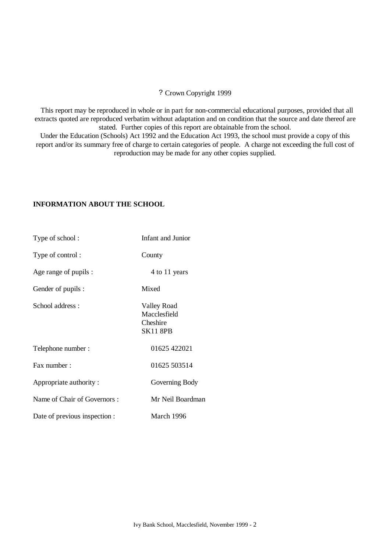## ? Crown Copyright 1999

 This report may be reproduced in whole or in part for non-commercial educational purposes, provided that all extracts quoted are reproduced verbatim without adaptation and on condition that the source and date thereof are stated. Further copies of this report are obtainable from the school.

Under the Education (Schools) Act 1992 and the Education Act 1993, the school must provide a copy of this report and/or its summary free of charge to certain categories of people. A charge not exceeding the full cost of reproduction may be made for any other copies supplied.

#### **INFORMATION ABOUT THE SCHOOL**

| Type of school:               | Infant and Junior                                                 |
|-------------------------------|-------------------------------------------------------------------|
| Type of control:              | County                                                            |
| Age range of pupils :         | 4 to 11 years                                                     |
| Gender of pupils :            | Mixed                                                             |
| School address:               | <b>Valley Road</b><br>Macclesfield<br>Cheshire<br><b>SK11 8PB</b> |
| Telephone number:             | 01625 422021                                                      |
| Fax number:                   | 01625 503514                                                      |
| Appropriate authority:        | Governing Body                                                    |
| Name of Chair of Governors:   | Mr Neil Boardman                                                  |
| Date of previous inspection : | March 1996                                                        |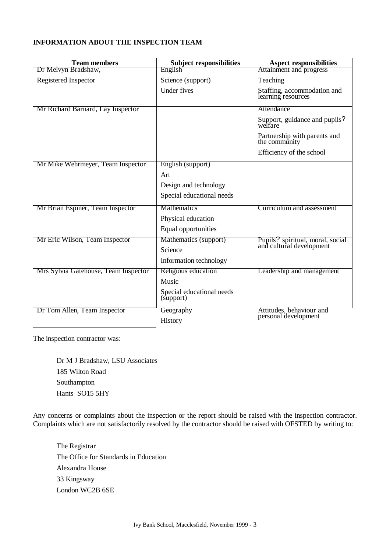# **INFORMATION ABOUT THE INSPECTION TEAM**

| <b>Team members</b>                  | <b>Subject responsibilities</b>        | <b>Aspect responsibilities</b>                    |
|--------------------------------------|----------------------------------------|---------------------------------------------------|
| Dr Melvyn Bradshaw,                  | English                                | Attainment and progress                           |
| Registered Inspector                 | Science (support)                      | Teaching                                          |
|                                      | Under fives                            | Staffing, accommodation and<br>learning resources |
| Mr Richard Barnard, Lay Inspector    |                                        | Attendance                                        |
|                                      |                                        | Support, guidance and pupils?<br>welfare          |
|                                      |                                        | Partnership with parents and<br>the community     |
|                                      |                                        | Efficiency of the school                          |
| Mr Mike Wehrmeyer, Team Inspector    | English (support)                      |                                                   |
|                                      | Art                                    |                                                   |
|                                      | Design and technology                  |                                                   |
|                                      | Special educational needs              |                                                   |
| Mr Brian Espiner, Team Inspector     | <b>Mathematics</b>                     | <b>Curriculum and assessment</b>                  |
|                                      | Physical education                     |                                                   |
|                                      | Equal opportunities                    |                                                   |
| Mr Eric Wilson, Team Inspector       | Mathematics (support)                  | Pupils? spiritual, moral, social                  |
|                                      | Science                                | and cultural development                          |
|                                      | Information technology                 |                                                   |
| Mrs Sylvia Gatehouse, Team Inspector | Religious education                    | Leadership and management                         |
|                                      | Music                                  |                                                   |
|                                      | Special educational needs<br>(support) |                                                   |
| Dr Tom Allen, Team Inspector         | Geography                              | Attitudes, behaviour and                          |
|                                      | <b>History</b>                         | personal development                              |

The inspection contractor was:

Dr M J Bradshaw, LSU Associates 185 Wilton Road Southampton Hants SO15 5HY

Any concerns or complaints about the inspection or the report should be raised with the inspection contractor. Complaints which are not satisfactorily resolved by the contractor should be raised with OFSTED by writing to:

The Registrar The Office for Standards in Education Alexandra House 33 Kingsway London WC2B 6SE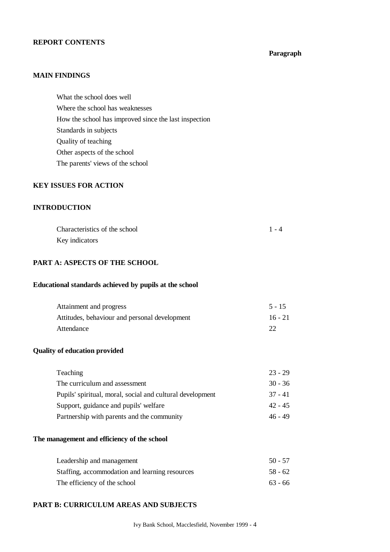#### **REPORT CONTENTS**

#### **Paragraph**

## **MAIN FINDINGS**

What the school does well Where the school has weaknesses How the school has improved since the last inspection Standards in subjects Quality of teaching Other aspects of the school The parents' views of the school

# **KEY ISSUES FOR ACTION**

# **INTRODUCTION**

| Characteristics of the school | $1 - 4$ |
|-------------------------------|---------|
| Key indicators                |         |

# **PART A: ASPECTS OF THE SCHOOL**

## **Educational standards achieved by pupils at the school**

| Attainment and progress                       | $5 - 15$  |
|-----------------------------------------------|-----------|
| Attitudes, behaviour and personal development | $16 - 21$ |
| Attendance                                    | 22        |

## **Quality of education provided**

| Teaching                                                  | $23 - 29$ |
|-----------------------------------------------------------|-----------|
| The curriculum and assessment                             | $30 - 36$ |
| Pupils' spiritual, moral, social and cultural development | $37 - 41$ |
| Support, guidance and pupils' welfare                     | $42 - 45$ |
| Partnership with parents and the community                | 46 - 49   |

#### **The management and efficiency of the school**

| Leadership and management                      | $50 - 57$ |
|------------------------------------------------|-----------|
| Staffing, accommodation and learning resources | 58 - 62   |
| The efficiency of the school                   | $63 - 66$ |

#### **PART B: CURRICULUM AREAS AND SUBJECTS**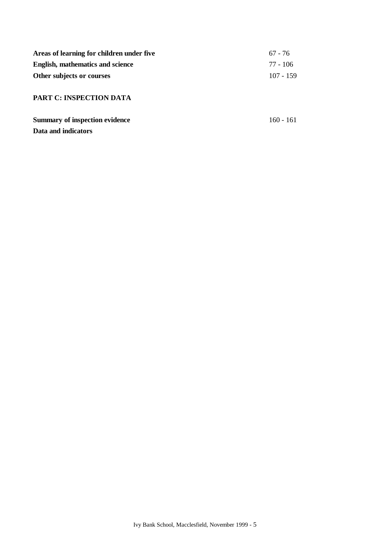| Areas of learning for children under five | $67 - 76$   |
|-------------------------------------------|-------------|
| <b>English, mathematics and science</b>   | 77 - 106    |
| Other subjects or courses                 | $107 - 159$ |
| <b>PART C: INSPECTION DATA</b>            |             |
| <b>Summary of inspection evidence</b>     | $160 - 161$ |
| Data and indicators                       |             |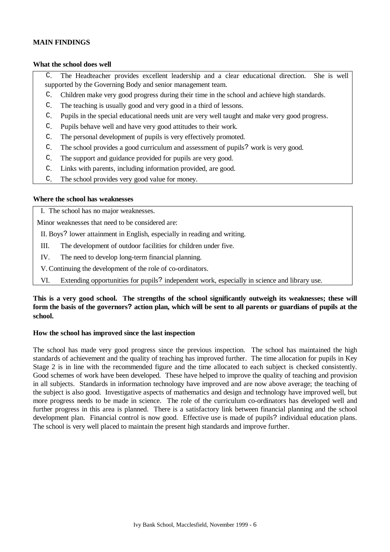## **MAIN FINDINGS**

#### **What the school does well**

 C. The Headteacher provides excellent leadership and a clear educational direction. She is well supported by the Governing Body and senior management team.

- C. Children make very good progress during their time in the school and achieve high standards.
- C. The teaching is usually good and very good in a third of lessons.
- C. Pupils in the special educational needs unit are very well taught and make very good progress.
- C. Pupils behave well and have very good attitudes to their work.
- C. The personal development of pupils is very effectively promoted.
- C. The school provides a good curriculum and assessment of pupils? work is very good.
- C. The support and guidance provided for pupils are very good.
- C. Links with parents, including information provided, are good.
- C. The school provides very good value for money.

## **Where the school has weaknesses**

I. The school has no major weaknesses.

Minor weaknesses that need to be considered are:

II. Boys? lower attainment in English, especially in reading and writing.

- III. The development of outdoor facilities for children under five.
- IV. The need to develop long-term financial planning.
- V.Continuing the development of the role of co-ordinators.
- VI. Extending opportunities for pupils? independent work, especially in science and library use.

## **This is a very good school. The strengths of the school significantly outweigh its weaknesses; these will form the basis of the governors? action plan, which will be sent to all parents or guardians of pupils at the school.**

#### **How the school has improved since the last inspection**

The school has made very good progress since the previous inspection. The school has maintained the high standards of achievement and the quality of teaching has improved further. The time allocation for pupils in Key Stage 2 is in line with the recommended figure and the time allocated to each subject is checked consistently. Good schemes of work have been developed. These have helped to improve the quality of teaching and provision in all subjects. Standards in information technology have improved and are now above average; the teaching of the subject is also good. Investigative aspects of mathematics and design and technology have improved well, but more progress needs to be made in science. The role of the curriculum co-ordinators has developed well and further progress in this area is planned. There is a satisfactory link between financial planning and the school development plan. Financial control is now good. Effective use is made of pupils? individual education plans. The school is very well placed to maintain the present high standards and improve further.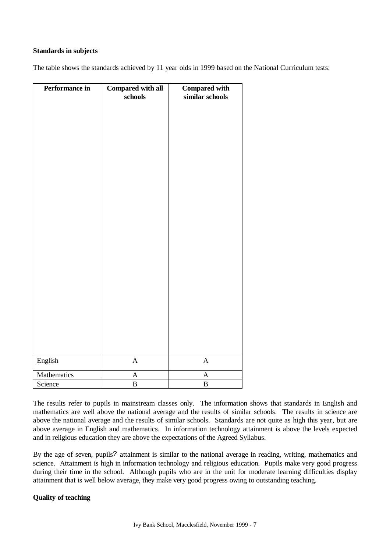#### **Standards in subjects**

The table shows the standards achieved by 11 year olds in 1999 based on the National Curriculum tests:

| Performance in | Compared with all<br>schools | <b>Compared with</b><br>similar schools |
|----------------|------------------------------|-----------------------------------------|
|                |                              |                                         |
| English        | $\mathbf{A}$                 | $\mathbf{A}$                            |
| Mathematics    | $\boldsymbol{A}$             | $\boldsymbol{A}$                        |
| Science        | $\, {\bf B}$                 | $\, {\bf B}$                            |

The results refer to pupils in mainstream classes only. The information shows that standards in English and mathematics are well above the national average and the results of similar schools. The results in science are above the national average and the results of similar schools. Standards are not quite as high this year, but are above average in English and mathematics. In information technology attainment is above the levels expected and in religious education they are above the expectations of the Agreed Syllabus.

By the age of seven, pupils? attainment is similar to the national average in reading, writing, mathematics and science. Attainment is high in information technology and religious education. Pupils make very good progress during their time in the school. Although pupils who are in the unit for moderate learning difficulties display attainment that is well below average, they make very good progress owing to outstanding teaching.

# **Quality of teaching**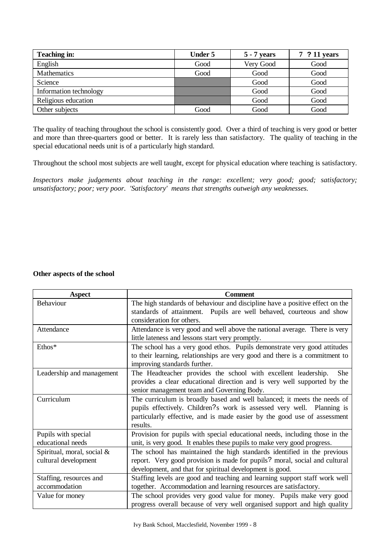| <b>Teaching in:</b>    | <b>Under 5</b> | $5 - 7$ years | 7 ? 11 years |
|------------------------|----------------|---------------|--------------|
| English                | Good           | Very Good     | Good         |
| Mathematics            | Good           | Good          | Good         |
| Science                |                | Good          | Good         |
| Information technology |                | Good          | Good         |
| Religious education    |                | Good          | Good         |
| Other subjects         | Good           | Good          | Good         |

The quality of teaching throughout the school is consistently good. Over a third of teaching is very good or better and more than three-quarters good or better. It is rarely less than satisfactory. The quality of teaching in the special educational needs unit is of a particularly high standard.

Throughout the school most subjects are well taught, except for physical education where teaching is satisfactory.

*Inspectors make judgements about teaching in the range: excellent; very good; good; satisfactory; unsatisfactory; poor; very poor. 'Satisfactory' means that strengths outweigh any weaknesses.* 

## **Other aspects of the school**

| <b>Aspect</b>                                      | <b>Comment</b>                                                                                                                                                                                                                             |
|----------------------------------------------------|--------------------------------------------------------------------------------------------------------------------------------------------------------------------------------------------------------------------------------------------|
| Behaviour                                          | The high standards of behaviour and discipline have a positive effect on the                                                                                                                                                               |
|                                                    | standards of attainment. Pupils are well behaved, courteous and show                                                                                                                                                                       |
|                                                    | consideration for others.                                                                                                                                                                                                                  |
| Attendance                                         | Attendance is very good and well above the national average. There is very<br>little lateness and lessons start very promptly.                                                                                                             |
| Ethos*                                             | The school has a very good ethos. Pupils demonstrate very good attitudes<br>to their learning, relationships are very good and there is a commitment to<br>improving standards further.                                                    |
| Leadership and management                          | The Headteacher provides the school with excellent leadership.<br><b>She</b><br>provides a clear educational direction and is very well supported by the<br>senior management team and Governing Body.                                     |
| Curriculum                                         | The curriculum is broadly based and well balanced; it meets the needs of<br>pupils effectively. Children?s work is assessed very well. Planning is<br>particularly effective, and is made easier by the good use of assessment<br>results. |
| Pupils with special<br>educational needs           | Provision for pupils with special educational needs, including those in the<br>unit, is very good. It enables these pupils to make very good progress.                                                                                     |
| Spiritual, moral, social &<br>cultural development | The school has maintained the high standards identified in the previous<br>report. Very good provision is made for pupils? moral, social and cultural<br>development, and that for spiritual development is good.                          |
| Staffing, resources and                            | Staffing levels are good and teaching and learning support staff work well                                                                                                                                                                 |
| accommodation                                      | together. Accommodation and learning resources are satisfactory.                                                                                                                                                                           |
| Value for money                                    | The school provides very good value for money. Pupils make very good                                                                                                                                                                       |
|                                                    | progress overall because of very well organised support and high quality                                                                                                                                                                   |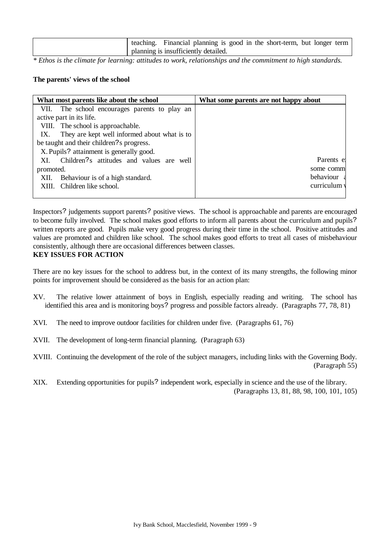|                                      |  |  | teaching. Financial planning is good in the short-term, but longer term |  |  |
|--------------------------------------|--|--|-------------------------------------------------------------------------|--|--|
| planning is insufficiently detailed. |  |  |                                                                         |  |  |

*\* Ethos is the climate for learning: attitudes to work, relationships and the commitment to high standards.*

## **The parents' views of the school**

| What most parents like about the school             | What some parents are not happy about |
|-----------------------------------------------------|---------------------------------------|
| VII. The school encourages parents to play an       |                                       |
| active part in its life.                            |                                       |
| VIII. The school is approachable.                   |                                       |
| They are kept well informed about what is to<br>IX. |                                       |
| be taught and their children? s progress.           |                                       |
| X. Pupils? attainment is generally good.            |                                       |
| Children?s attitudes and values are well<br>XI.     | Parents el                            |
| promoted.                                           | some comm                             |
| Behaviour is of a high standard.<br>XII.            | behaviour                             |
| XIII. Children like school.                         | curriculum v                          |
|                                                     |                                       |

Inspectors? judgements support parents? positive views. The school is approachable and parents are encouraged to become fully involved. The school makes good efforts to inform all parents about the curriculum and pupils? written reports are good. Pupils make very good progress during their time in the school. Positive attitudes and values are promoted and children like school. The school makes good efforts to treat all cases of misbehaviour consistently, although there are occasional differences between classes.

# **KEY ISSUES FOR ACTION**

There are no key issues for the school to address but, in the context of its many strengths, the following minor points for improvement should be considered as the basis for an action plan:

- XV. The relative lower attainment of boys in English, especially reading and writing. The school has identified this area and is monitoring boys? progress and possible factors already. (Paragraphs 77, 78, 81)
- XVI. The need to improve outdoor facilities for children under five. (Paragraphs 61, 76)
- XVII. The development of long-term financial planning. (Paragraph 63)
- XVIII. Continuing the development of the role of the subject managers, including links with the Governing Body. (Paragraph 55)
- XIX. Extending opportunities for pupils? independent work, especially in science and the use of the library. (Paragraphs 13, 81, 88, 98, 100, 101, 105)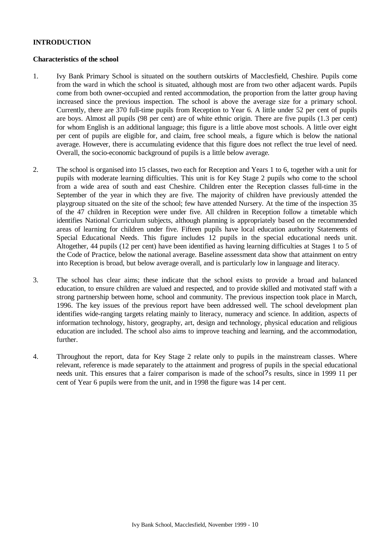## **INTRODUCTION**

#### **Characteristics of the school**

- 1. Ivy Bank Primary School is situated on the southern outskirts of Macclesfield, Cheshire. Pupils come from the ward in which the school is situated, although most are from two other adjacent wards. Pupils come from both owner-occupied and rented accommodation, the proportion from the latter group having increased since the previous inspection. The school is above the average size for a primary school. Currently, there are 370 full-time pupils from Reception to Year 6. A little under 52 per cent of pupils are boys. Almost all pupils (98 per cent) are of white ethnic origin. There are five pupils (1.3 per cent) for whom English is an additional language; this figure is a little above most schools. A little over eight per cent of pupils are eligible for, and claim, free school meals, a figure which is below the national average. However, there is accumulating evidence that this figure does not reflect the true level of need. Overall, the socio-economic background of pupils is a little below average.
- 2. The school is organised into 15 classes, two each for Reception and Years 1 to 6, together with a unit for pupils with moderate learning difficulties. This unit is for Key Stage 2 pupils who come to the school from a wide area of south and east Cheshire. Children enter the Reception classes full-time in the September of the year in which they are five. The majority of children have previously attended the playgroup situated on the site of the school; few have attended Nursery. At the time of the inspection 35 of the 47 children in Reception were under five. All children in Reception follow a timetable which identifies National Curriculum subjects, although planning is appropriately based on the recommended areas of learning for children under five. Fifteen pupils have local education authority Statements of Special Educational Needs. This figure includes 12 pupils in the special educational needs unit. Altogether, 44 pupils (12 per cent) have been identified as having learning difficulties at Stages 1 to 5 of the Code of Practice, below the national average. Baseline assessment data show that attainment on entry into Reception is broad, but below average overall, and is particularly low in language and literacy.
- 3. The school has clear aims; these indicate that the school exists to provide a broad and balanced education, to ensure children are valued and respected, and to provide skilled and motivated staff with a strong partnership between home, school and community. The previous inspection took place in March, 1996. The key issues of the previous report have been addressed well. The school development plan identifies wide-ranging targets relating mainly to literacy, numeracy and science. In addition, aspects of information technology, history, geography, art, design and technology, physical education and religious education are included. The school also aims to improve teaching and learning, and the accommodation, further.
- 4. Throughout the report, data for Key Stage 2 relate only to pupils in the mainstream classes. Where relevant, reference is made separately to the attainment and progress of pupils in the special educational needs unit. This ensures that a fairer comparison is made of the school?s results, since in 1999 11 per cent of Year 6 pupils were from the unit, and in 1998 the figure was 14 per cent.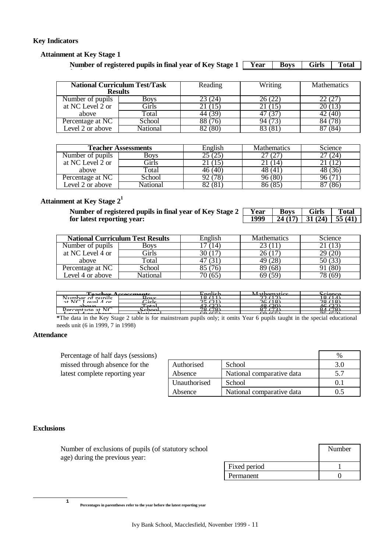## **Key Indicators**

## **Attainment at Key Stage 1**

**Number of registered pupils in final year of Key Stage 1 <b>Year Boys Girls** Total **for latest reporting year: 1999 29 (30) 21 (21) 50 (51)**

| <b>National Curriculum Test/Task</b><br><b>Results</b> |          | Reading | Writing | <b>Mathematics</b> |
|--------------------------------------------------------|----------|---------|---------|--------------------|
| Number of pupils                                       | Bovs     | 23 (24) |         |                    |
| at NC Level 2 or                                       | Girls    |         |         |                    |
| above                                                  | Total    | 44 (39  |         | 42 (40             |
| Percentage at NC                                       | School   |         |         |                    |
| Level 2 or above                                       | National | (80     |         |                    |

|                  | <b>Teacher Assessments</b> | English | <b>Mathematics</b> | Science |
|------------------|----------------------------|---------|--------------------|---------|
| Number of pupils | Bovs                       | 25(25)  |                    | 27 (24  |
| at NC Level 2 or | Girls                      |         | 21 (14)            |         |
| above            | Total                      | 46 (40) | 48 (41)            | 48 (36) |
| Percentage at NC | School                     | (78)    | 96 (80)            |         |
| Level 2 or above | National                   |         | 86 (85             | (86)    |

# **Attainment at Key Stage 2<sup>1</sup>**

| Number of registered pupils in final year of Key Stage 2   Year   Boys   Girls |                                    | Total |
|--------------------------------------------------------------------------------|------------------------------------|-------|
| for latest reporting year:                                                     | 1999   24 (17)   31 (24)   55 (41) |       |

|                  | <b>National Curriculum Test Results</b> | English | <b>Mathematics</b> | Science |
|------------------|-----------------------------------------|---------|--------------------|---------|
| Number of pupils | Boys                                    | (14)    |                    | 21 (13) |
| at NC Level 4 or | Girls                                   | 30 (17  | 26 (17             | 29 (20  |
| above            | Гоtal                                   | 47 (31  | ا 49               | 50 (33  |
| Percentage at NC | School                                  | 85 (76) | 89 (68             | 91 (80) |
| Level 4 or above | National                                | 70 (65) |                    | 78 (69  |

| Tooghar Accocomante                                                                         |                     | $G$ nolich          | Mathematics.            | ്ലനല        |
|---------------------------------------------------------------------------------------------|---------------------|---------------------|-------------------------|-------------|
| Number of pupils                                                                            | $R_{\alpha\nu\rho}$ | $\circ$             |                         |             |
| $\alpha$ t N $\alpha$<br>$\alpha$ <sub>10</sub> $\alpha$ <sub>1</sub> $\alpha$ <sup>1</sup> | $_{\rm Tirlc}$      | $($ $\land$ $\land$ | (10)                    | ിറ<br>1 O`  |
| 9h012                                                                                       | $T_{\alpha}$ tol    | $\sim$              | (20)                    |             |
| $Darcantora$ at $\overline{MC}$                                                             | ാമറപ                | (70)<br>$\neg$ O    | $\sqrt{2}$<br><u>__</u> | $\sqrt{70}$ |
| _______                                                                                     | _ _ _               |                     |                         | ____        |

The data in the Key Stage 2 table is for mainstream pupils only; it omits Year 6 pupils taught in the special educational needs unit (6 in 1999, 7 in 1998)

#### **Attendance**

| Percentage of half days (sessions) |              |                           | $\%$ |
|------------------------------------|--------------|---------------------------|------|
| missed through absence for the     | Authorised   | School                    | 3.0  |
| latest complete reporting year     | Absence      | National comparative data | 5.7  |
|                                    | Unauthorised | School                    | 0.1  |
|                                    | Absence      | National comparative data | 0.5  |

#### **Exclusions**

 $\overline{a}$ 

| Number of exclusions of pupils (of statutory school<br>age) during the previous year: |              | Number |
|---------------------------------------------------------------------------------------|--------------|--------|
|                                                                                       | Fixed period |        |
|                                                                                       | Permanent    |        |

**1**

**Percentages in parentheses refer to the year before the latest reporting year**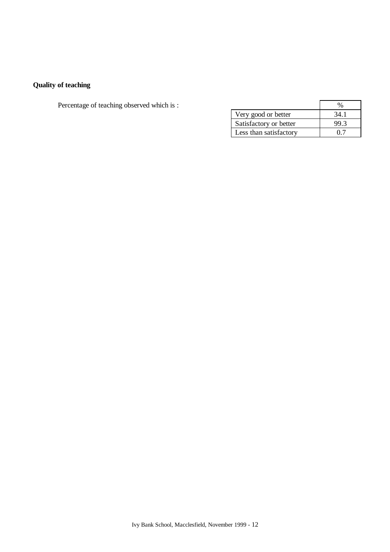# **Quality of teaching**

Percentage of teaching observed which is :

|                        | $\%$ |
|------------------------|------|
| Very good or better    | 34.1 |
| Satisfactory or better | 99.3 |
| Less than satisfactory |      |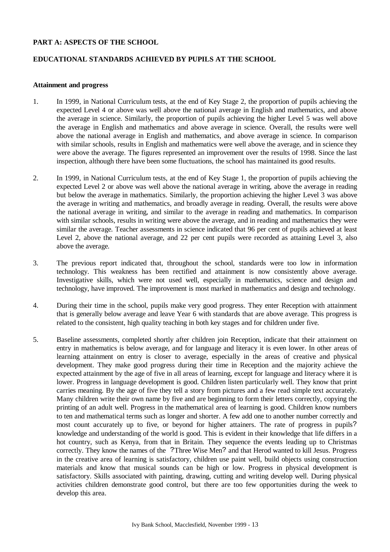## **PART A: ASPECTS OF THE SCHOOL**

## **EDUCATIONAL STANDARDS ACHIEVED BY PUPILS AT THE SCHOOL**

#### **Attainment and progress**

- 1. In 1999, in National Curriculum tests, at the end of Key Stage 2, the proportion of pupils achieving the expected Level 4 or above was well above the national average in English and mathematics, and above the average in science. Similarly, the proportion of pupils achieving the higher Level 5 was well above the average in English and mathematics and above average in science. Overall, the results were well above the national average in English and mathematics, and above average in science. In comparison with similar schools, results in English and mathematics were well above the average, and in science they were above the average. The figures represented an improvement over the results of 1998. Since the last inspection, although there have been some fluctuations, the school has maintained its good results.
- 2. In 1999, in National Curriculum tests, at the end of Key Stage 1, the proportion of pupils achieving the expected Level 2 or above was well above the national average in writing, above the average in reading but below the average in mathematics. Similarly, the proportion achieving the higher Level 3 was above the average in writing and mathematics, and broadly average in reading. Overall, the results were above the national average in writing, and similar to the average in reading and mathematics. In comparison with similar schools, results in writing were above the average, and in reading and mathematics they were similar the average. Teacher assessments in science indicated that 96 per cent of pupils achieved at least Level 2, above the national average, and 22 per cent pupils were recorded as attaining Level 3, also above the average.
- 3. The previous report indicated that, throughout the school, standards were too low in information technology. This weakness has been rectified and attainment is now consistently above average. Investigative skills, which were not used well, especially in mathematics, science and design and technology, have improved. The improvement is most marked in mathematics and design and technology.
- 4. During their time in the school, pupils make very good progress. They enter Reception with attainment that is generally below average and leave Year 6 with standards that are above average. This progress is related to the consistent, high quality teaching in both key stages and for children under five.
- 5. Baseline assessments, completed shortly after children join Reception, indicate that their attainment on entry in mathematics is below average, and for language and literacy it is even lower. In other areas of learning attainment on entry is closer to average, especially in the areas of creative and physical development. They make good progress during their time in Reception and the majority achieve the expected attainment by the age of five in all areas of learning, except for language and literacy where it is lower. Progress in language development is good. Children listen particularly well. They know that print carries meaning. By the age of five they tell a story from pictures and a few read simple text accurately. Many children write their own name by five and are beginning to form their letters correctly, copying the printing of an adult well. Progress in the mathematical area of learning is good. Children know numbers to ten and mathematical terms such as longer and shorter. A few add one to another number correctly and most count accurately up to five, or beyond for higher attainers. The rate of progress in pupils? knowledge and understanding of the world is good. This is evident in their knowledge that life differs in a hot country, such as Kenya, from that in Britain. They sequence the events leading up to Christmas correctly. They know the names of the ?Three Wise Men? and that Herod wanted to kill Jesus. Progress in the creative area of learning is satisfactory, children use paint well, build objects using construction materials and know that musical sounds can be high or low. Progress in physical development is satisfactory. Skills associated with painting, drawing, cutting and writing develop well. During physical activities children demonstrate good control, but there are too few opportunities during the week to develop this area.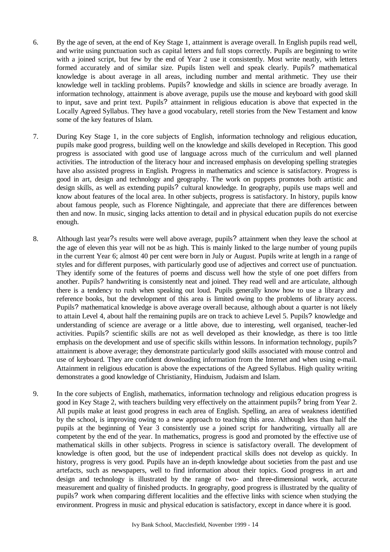- 6. By the age of seven, at the end of Key Stage 1, attainment is average overall. In English pupils read well, and write using punctuation such as capital letters and full stops correctly. Pupils are beginning to write with a joined script, but few by the end of Year 2 use it consistently. Most write neatly, with letters formed accurately and of similar size. Pupils listen well and speak clearly. Pupils? mathematical knowledge is about average in all areas, including number and mental arithmetic. They use their knowledge well in tackling problems. Pupils? knowledge and skills in science are broadly average. In information technology, attainment is above average, pupils use the mouse and keyboard with good skill to input, save and print text. Pupils? attainment in religious education is above that expected in the Locally Agreed Syllabus. They have a good vocabulary, retell stories from the New Testament and know some of the key features of Islam.
- 7. During Key Stage 1, in the core subjects of English, information technology and religious education, pupils make good progress, building well on the knowledge and skills developed in Reception. This good progress is associated with good use of language across much of the curriculum and well planned activities. The introduction of the literacy hour and increased emphasis on developing spelling strategies have also assisted progress in English. Progress in mathematics and science is satisfactory. Progress is good in art, design and technology and geography. The work on puppets promotes both artistic and design skills, as well as extending pupils? cultural knowledge. In geography, pupils use maps well and know about features of the local area. In other subjects, progress is satisfactory. In history, pupils know about famous people, such as Florence Nightingale, and appreciate that there are differences between then and now. In music, singing lacks attention to detail and in physical education pupils do not exercise enough.
- 8. Although last year?s results were well above average, pupils? attainment when they leave the school at the age of eleven this year will not be as high. This is mainly linked to the large number of young pupils in the current Year 6; almost 40 per cent were born in July or August. Pupils write at length in a range of styles and for different purposes, with particularly good use of adjectives and correct use of punctuation. They identify some of the features of poems and discuss well how the style of one poet differs from another. Pupils? handwriting is consistently neat and joined. They read well and are articulate, although there is a tendency to rush when speaking out loud. Pupils generally know how to use a library and reference books, but the development of this area is limited owing to the problems of library access. Pupils? mathematical knowledge is above average overall because, although about a quarter is not likely to attain Level 4, about half the remaining pupils are on track to achieve Level 5. Pupils? knowledge and understanding of science are average or a little above, due to interesting, well organised, teacher-led activities. Pupils? scientific skills are not as well developed as their knowledge, as there is too little emphasis on the development and use of specific skills within lessons. In information technology, pupils? attainment is above average; they demonstrate particularly good skills associated with mouse control and use of keyboard. They are confident downloading information from the Internet and when using e-mail. Attainment in religious education is above the expectations of the Agreed Syllabus. High quality writing demonstrates a good knowledge of Christianity, Hinduism, Judaism and Islam.
- 9. In the core subjects of English, mathematics, information technology and religious education progress is good in Key Stage 2, with teachers building very effectively on the attainment pupils? bring from Year 2. All pupils make at least good progress in each area of English. Spelling, an area of weakness identified by the school, is improving owing to a new approach to teaching this area. Although less than half the pupils at the beginning of Year 3 consistently use a joined script for handwriting, virtually all are competent by the end of the year. In mathematics, progress is good and promoted by the effective use of mathematical skills in other subjects. Progress in science is satisfactory overall. The development of knowledge is often good, but the use of independent practical skills does not develop as quickly. In history, progress is very good. Pupils have an in-depth knowledge about societies from the past and use artefacts, such as newspapers, well to find information about their topics. Good progress in art and design and technology is illustrated by the range of two- and three-dimensional work, accurate measurement and quality of finished products. In geography, good progress is illustrated by the quality of pupils? work when comparing different localities and the effective links with science when studying the environment. Progress in music and physical education is satisfactory, except in dance where it is good.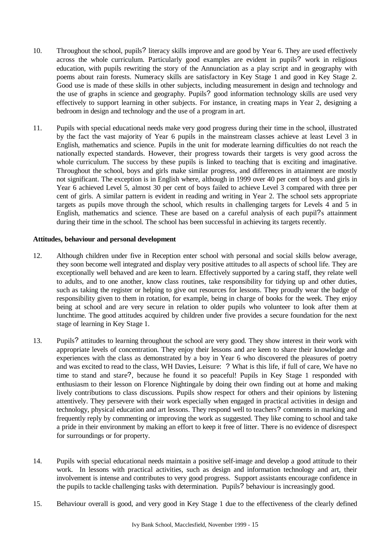- 10. Throughout the school, pupils? literacy skills improve and are good by Year 6. They are used effectively across the whole curriculum. Particularly good examples are evident in pupils? work in religious education, with pupils rewriting the story of the Annunciation as a play script and in geography with poems about rain forests. Numeracy skills are satisfactory in Key Stage 1 and good in Key Stage 2. Good use is made of these skills in other subjects, including measurement in design and technology and the use of graphs in science and geography. Pupils? good information technology skills are used very effectively to support learning in other subjects. For instance, in creating maps in Year 2, designing a bedroom in design and technology and the use of a program in art.
- 11. Pupils with special educational needs make very good progress during their time in the school, illustrated by the fact the vast majority of Year 6 pupils in the mainstream classes achieve at least Level 3 in English, mathematics and science. Pupils in the unit for moderate learning difficulties do not reach the nationally expected standards. However, their progress towards their targets is very good across the whole curriculum. The success by these pupils is linked to teaching that is exciting and imaginative. Throughout the school, boys and girls make similar progress, and differences in attainment are mostly not significant. The exception is in English where, although in 1999 over 40 per cent of boys and girls in Year 6 achieved Level 5, almost 30 per cent of boys failed to achieve Level 3 compared with three per cent of girls. A similar pattern is evident in reading and writing in Year 2. The school sets appropriate targets as pupils move through the school, which results in challenging targets for Levels 4 and 5 in English, mathematics and science. These are based on a careful analysis of each pupil?s attainment during their time in the school. The school has been successful in achieving its targets recently.

#### **Attitudes, behaviour and personal development**

- 12. Although children under five in Reception enter school with personal and social skills below average, they soon become well integrated and display very positive attitudes to all aspects of school life. They are exceptionally well behaved and are keen to learn. Effectively supported by a caring staff, they relate well to adults, and to one another, know class routines, take responsibility for tidying up and other duties, such as taking the register or helping to give out resources for lessons. They proudly wear the badge of responsibility given to them in rotation, for example, being in charge of books for the week. They enjoy being at school and are very secure in relation to older pupils who volunteer to look after them at lunchtime. The good attitudes acquired by children under five provides a secure foundation for the next stage of learning in Key Stage 1.
- 13. Pupils? attitudes to learning throughout the school are very good. They show interest in their work with appropriate levels of concentration. They enjoy their lessons and are keen to share their knowledge and experiences with the class as demonstrated by a boy in Year 6 who discovered the pleasures of poetry and was excited to read to the class, WH Davies, Leisure: ? What is this life, if full of care, We have no time to stand and stare?, because he found it so peaceful! Pupils in Key Stage 1 responded with enthusiasm to their lesson on Florence Nightingale by doing their own finding out at home and making lively contributions to class discussions. Pupils show respect for others and their opinions by listening attentively. They persevere with their work especially when engaged in practical activities in design and technology, physical education and art lessons. They respond well to teachers? comments in marking and frequently reply by commenting or improving the work as suggested. They like coming to school and take a pride in their environment by making an effort to keep it free of litter. There is no evidence of disrespect for surroundings or for property.
- 14. Pupils with special educational needs maintain a positive self-image and develop a good attitude to their work. In lessons with practical activities, such as design and information technology and art, their involvement is intense and contributes to very good progress. Support assistants encourage confidence in the pupils to tackle challenging tasks with determination. Pupils? behaviour is increasingly good.
- 15. Behaviour overall is good, and very good in Key Stage 1 due to the effectiveness of the clearly defined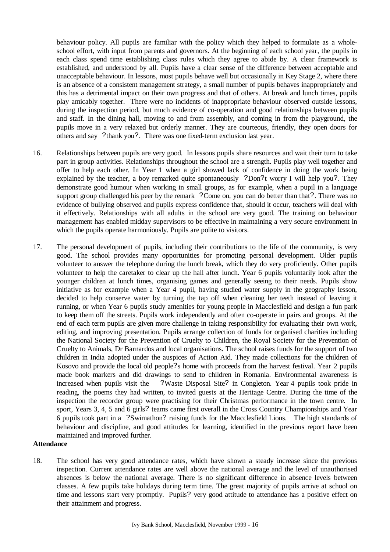behaviour policy. All pupils are familiar with the policy which they helped to formulate as a wholeschool effort, with input from parents and governors. At the beginning of each school year, the pupils in each class spend time establishing class rules which they agree to abide by. A clear framework is established, and understood by all. Pupils have a clear sense of the difference between acceptable and unacceptable behaviour. In lessons, most pupils behave well but occasionally in Key Stage 2, where there is an absence of a consistent management strategy, a small number of pupils behaves inappropriately and this has a detrimental impact on their own progress and that of others. At break and lunch times, pupils play amicably together. There were no incidents of inappropriate behaviour observed outside lessons, during the inspection period, but much evidence of co-operation and good relationships between pupils and staff. In the dining hall, moving to and from assembly, and coming in from the playground, the pupils move in a very relaxed but orderly manner. They are courteous, friendly, they open doors for others and say ?thank you?. There was one fixed-term exclusion last year.

- 16. Relationships between pupils are very good. In lessons pupils share resources and wait their turn to take part in group activities. Relationships throughout the school are a strength. Pupils play well together and offer to help each other. In Year 1 when a girl showed lack of confidence in doing the work being explained by the teacher, a boy remarked quite spontaneously ?Don?t worry I will help you?. They demonstrate good humour when working in small groups, as for example, when a pupil in a language support group challenged his peer by the remark ? Come on, you can do better than that?. There was no evidence of bullying observed and pupils express confidence that, should it occur, teachers will deal with it effectively. Relationships with all adults in the school are very good. The training on behaviour management has enabled midday supervisors to be effective in maintaining a very secure environment in which the pupils operate harmoniously. Pupils are polite to visitors.
- 17. The personal development of pupils, including their contributions to the life of the community, is very good. The school provides many opportunities for promoting personal development. Older pupils volunteer to answer the telephone during the lunch break, which they do very proficiently. Other pupils volunteer to help the caretaker to clear up the hall after lunch. Year 6 pupils voluntarily look after the younger children at lunch times, organising games and generally seeing to their needs. Pupils show initiative as for example when a Year 4 pupil, having studied water supply in the geography lesson, decided to help conserve water by turning the tap off when cleaning her teeth instead of leaving it running, or when Year 6 pupils study amenities for young people in Macclesfield and design a fun park to keep them off the streets. Pupils work independently and often co-operate in pairs and groups. At the end of each term pupils are given more challenge in taking responsibility for evaluating their own work, editing, and improving presentation. Pupils arrange collection of funds for organised charities including the National Society for the Prevention of Cruelty to Children, the Royal Society for the Prevention of Cruelty to Animals, Dr Barnardos and local organisations. The school raises funds for the support of two children in India adopted under the auspices of Action Aid. They made collections for the children of Kosovo and provide the local old people?s home with proceeds from the harvest festival. Year 2 pupils made book markers and did drawings to send to children in Romania. Environmental awareness is increased when pupils visit the ?Waste Disposal Site? in Congleton. Year 4 pupils took pride in reading, the poems they had written, to invited guests at the Heritage Centre. During the time of the inspection the recorder group were practising for their Christmas performance in the town centre. In sport, Years 3, 4, 5 and 6 girls? teams came first overall in the Cross Country Championships and Year 6 pupils took part in a ?Swimathon? raising funds for the Macclesfield Lions. The high standards of behaviour and discipline, and good attitudes for learning, identified in the previous report have been maintained and improved further.

#### **Attendance**

18. The school has very good attendance rates, which have shown a steady increase since the previous inspection. Current attendance rates are well above the national average and the level of unauthorised absences is below the national average. There is no significant difference in absence levels between classes. A few pupils take holidays during term time. The great majority of pupils arrive at school on time and lessons start very promptly. Pupils? very good attitude to attendance has a positive effect on their attainment and progress.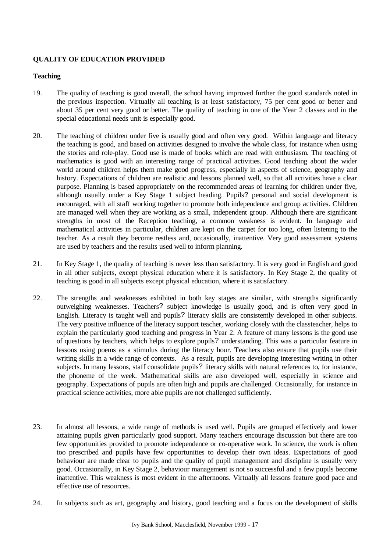# **QUALITY OF EDUCATION PROVIDED**

## **Teaching**

- 19. The quality of teaching is good overall, the school having improved further the good standards noted in the previous inspection. Virtually all teaching is at least satisfactory, 75 per cent good or better and about 35 per cent very good or better. The quality of teaching in one of the Year 2 classes and in the special educational needs unit is especially good.
- 20. The teaching of children under five is usually good and often very good. Within language and literacy the teaching is good, and based on activities designed to involve the whole class, for instance when using the stories and role-play. Good use is made of books which are read with enthusiasm. The teaching of mathematics is good with an interesting range of practical activities. Good teaching about the wider world around children helps them make good progress, especially in aspects of science, geography and history. Expectations of children are realistic and lessons planned well, so that all activities have a clear purpose. Planning is based appropriately on the recommended areas of learning for children under five, although usually under a Key Stage 1 subject heading. Pupils? personal and social development is encouraged, with all staff working together to promote both independence and group activities. Children are managed well when they are working as a small, independent group. Although there are significant strengths in most of the Reception teaching, a common weakness is evident. In language and mathematical activities in particular, children are kept on the carpet for too long, often listening to the teacher. As a result they become restless and, occasionally, inattentive. Very good assessment systems are used by teachers and the results used well to inform planning.
- 21. In Key Stage 1, the quality of teaching is never less than satisfactory. It is very good in English and good in all other subjects, except physical education where it is satisfactory. In Key Stage 2, the quality of teaching is good in all subjects except physical education, where it is satisfactory.
- 22. The strengths and weaknesses exhibited in both key stages are similar, with strengths significantly outweighing weaknesses. Teachers? subject knowledge is usually good, and is often very good in English. Literacy is taught well and pupils? literacy skills are consistently developed in other subjects. The very positive influence of the literacy support teacher, working closely with the classteacher, helps to explain the particularly good teaching and progress in Year 2. A feature of many lessons is the good use of questions by teachers, which helps to explore pupils? understanding. This was a particular feature in lessons using poems as a stimulus during the literacy hour. Teachers also ensure that pupils use their writing skills in a wide range of contexts. As a result, pupils are developing interesting writing in other subjects. In many lessons, staff consolidate pupils? literacy skills with natural references to, for instance, the phoneme of the week. Mathematical skills are also developed well, especially in science and geography. Expectations of pupils are often high and pupils are challenged. Occasionally, for instance in practical science activities, more able pupils are not challenged sufficiently.
- 23. In almost all lessons, a wide range of methods is used well. Pupils are grouped effectively and lower attaining pupils given particularly good support. Many teachers encourage discussion but there are too few opportunities provided to promote independence or co-operative work. In science, the work is often too prescribed and pupils have few opportunities to develop their own ideas. Expectations of good behaviour are made clear to pupils and the quality of pupil management and discipline is usually very good. Occasionally, in Key Stage 2, behaviour management is not so successful and a few pupils become inattentive. This weakness is most evident in the afternoons. Virtually all lessons feature good pace and effective use of resources.
- 24. In subjects such as art, geography and history, good teaching and a focus on the development of skills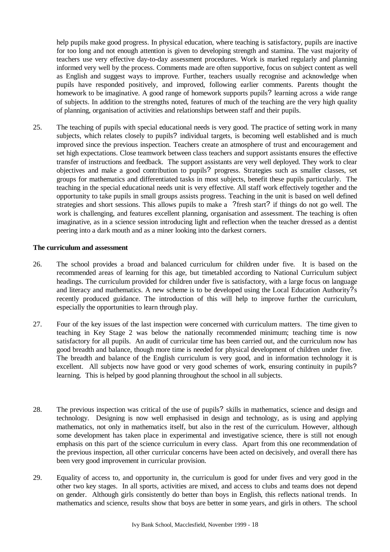help pupils make good progress. In physical education, where teaching is satisfactory, pupils are inactive for too long and not enough attention is given to developing strength and stamina. The vast majority of teachers use very effective day-to-day assessment procedures. Work is marked regularly and planning informed very well by the process. Comments made are often supportive, focus on subject content as well as English and suggest ways to improve. Further, teachers usually recognise and acknowledge when pupils have responded positively, and improved, following earlier comments. Parents thought the homework to be imaginative. A good range of homework supports pupils? learning across a wide range of subjects. In addition to the strengths noted, features of much of the teaching are the very high quality of planning, organisation of activities and relationships between staff and their pupils.

25. The teaching of pupils with special educational needs is very good. The practice of setting work in many subjects, which relates closely to pupils? individual targets, is becoming well established and is much improved since the previous inspection. Teachers create an atmosphere of trust and encouragement and set high expectations. Close teamwork between class teachers and support assistants ensures the effective transfer of instructions and feedback. The support assistants are very well deployed. They work to clear objectives and make a good contribution to pupils? progress. Strategies such as smaller classes, set groups for mathematics and differentiated tasks in most subjects, benefit these pupils particularly. The teaching in the special educational needs unit is very effective. All staff work effectively together and the opportunity to take pupils in small groups assists progress. Teaching in the unit is based on well defined strategies and short sessions. This allows pupils to make a ?fresh start? if things do not go well. The work is challenging, and features excellent planning, organisation and assessment. The teaching is often imaginative, as in a science session introducing light and reflection when the teacher dressed as a dentist peering into a dark mouth and as a miner looking into the darkest corners.

#### **The curriculum and assessment**

- 26. The school provides a broad and balanced curriculum for children under five. It is based on the recommended areas of learning for this age, but timetabled according to National Curriculum subject headings. The curriculum provided for children under five is satisfactory, with a large focus on language and literacy and mathematics. A new scheme is to be developed using the Local Education Authority?s recently produced guidance. The introduction of this will help to improve further the curriculum, especially the opportunities to learn through play.
- 27. Four of the key issues of the last inspection were concerned with curriculum matters. The time given to teaching in Key Stage 2 was below the nationally recommended minimum; teaching time is now satisfactory for all pupils. An audit of curricular time has been carried out, and the curriculum now has good breadth and balance, though more time is needed for physical development of children under five. The breadth and balance of the English curriculum is very good, and in information technology it is excellent. All subjects now have good or very good schemes of work, ensuring continuity in pupils? learning. This is helped by good planning throughout the school in all subjects.
- 28. The previous inspection was critical of the use of pupils? skills in mathematics, science and design and technology. Designing is now well emphasised in design and technology, as is using and applying mathematics, not only in mathematics itself, but also in the rest of the curriculum. However, although some development has taken place in experimental and investigative science, there is still not enough emphasis on this part of the science curriculum in every class. Apart from this one recommendation of the previous inspection, all other curricular concerns have been acted on decisively, and overall there has been very good improvement in curricular provision.
- 29. Equality of access to, and opportunity in, the curriculum is good for under fives and very good in the other two key stages. In all sports, activities are mixed, and access to clubs and teams does not depend on gender. Although girls consistently do better than boys in English, this reflects national trends. In mathematics and science, results show that boys are better in some years, and girls in others. The school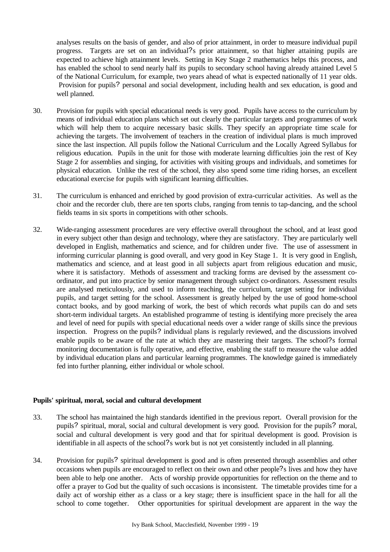analyses results on the basis of gender, and also of prior attainment, in order to measure individual pupil progress. Targets are set on an individual?s prior attainment, so that higher attaining pupils are expected to achieve high attainment levels. Setting in Key Stage 2 mathematics helps this process, and has enabled the school to send nearly half its pupils to secondary school having already attained Level 5 of the National Curriculum, for example, two years ahead of what is expected nationally of 11 year olds. Provision for pupils? personal and social development, including health and sex education, is good and well planned.

- 30. Provision for pupils with special educational needs is very good. Pupils have access to the curriculum by means of individual education plans which set out clearly the particular targets and programmes of work which will help them to acquire necessary basic skills. They specify an appropriate time scale for achieving the targets. The involvement of teachers in the creation of individual plans is much improved since the last inspection. All pupils follow the National Curriculum and the Locally Agreed Syllabus for religious education. Pupils in the unit for those with moderate learning difficulties join the rest of Key Stage 2 for assemblies and singing, for activities with visiting groups and individuals, and sometimes for physical education. Unlike the rest of the school, they also spend some time riding horses, an excellent educational exercise for pupils with significant learning difficulties.
- 31. The curriculum is enhanced and enriched by good provision of extra-curricular activities. As well as the choir and the recorder club, there are ten sports clubs, ranging from tennis to tap-dancing, and the school fields teams in six sports in competitions with other schools.
- 32. Wide-ranging assessment procedures are very effective overall throughout the school, and at least good in every subject other than design and technology, where they are satisfactory. They are particularly well developed in English, mathematics and science, and for children under five. The use of assessment in informing curricular planning is good overall, and very good in Key Stage 1. It is very good in English, mathematics and science, and at least good in all subjects apart from religious education and music, where it is satisfactory. Methods of assessment and tracking forms are devised by the assessment coordinator, and put into practice by senior management through subject co-ordinators. Assessment results are analysed meticulously, and used to inform teaching, the curriculum, target setting for individual pupils, and target setting for the school. Assessment is greatly helped by the use of good home-school contact books, and by good marking of work, the best of which records what pupils can do and sets short-term individual targets. An established programme of testing is identifying more precisely the area and level of need for pupils with special educational needs over a wider range of skills since the previous inspection. Progress on the pupils? individual plans is regularly reviewed, and the discussions involved enable pupils to be aware of the rate at which they are mastering their targets. The school?s formal monitoring documentation is fully operative, and effective, enabling the staff to measure the value added by individual education plans and particular learning programmes. The knowledge gained is immediately fed into further planning, either individual or whole school.

#### **Pupils' spiritual, moral, social and cultural development**

- 33. The school has maintained the high standards identified in the previous report. Overall provision for the pupils? spiritual, moral, social and cultural development is very good. Provision for the pupils? moral, social and cultural development is very good and that for spiritual development is good. Provision is identifiable in all aspects of the school?s work but is not yet consistently included in all planning.
- 34. Provision for pupils? spiritual development is good and is often presented through assemblies and other occasions when pupils are encouraged to reflect on their own and other people?s lives and how they have been able to help one another. Acts of worship provide opportunities for reflection on the theme and to offer a prayer to God but the quality of such occasions is inconsistent. The timetable provides time for a daily act of worship either as a class or a key stage; there is insufficient space in the hall for all the school to come together. Other opportunities for spiritual development are apparent in the way the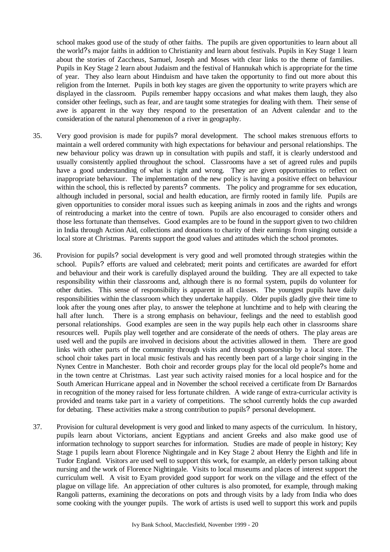school makes good use of the study of other faiths. The pupils are given opportunities to learn about all the world?s major faiths in addition to Christianity and learn about festivals. Pupils in Key Stage 1 learn about the stories of Zaccheus, Samuel, Joseph and Moses with clear links to the theme of families. Pupils in Key Stage 2 learn about Judaism and the festival of Hannukah which is appropriate for the time of year. They also learn about Hinduism and have taken the opportunity to find out more about this religion from the Internet. Pupils in both key stages are given the opportunity to write prayers which are displayed in the classroom. Pupils remember happy occasions and what makes them laugh, they also consider other feelings, such as fear, and are taught some strategies for dealing with them. Their sense of awe is apparent in the way they respond to the presentation of an Advent calendar and to the consideration of the natural phenomenon of a river in geography.

- 35. Very good provision is made for pupils? moral development. The school makes strenuous efforts to maintain a well ordered community with high expectations for behaviour and personal relationships. The new behaviour policy was drawn up in consultation with pupils and staff, it is clearly understood and usually consistently applied throughout the school. Classrooms have a set of agreed rules and pupils have a good understanding of what is right and wrong. They are given opportunities to reflect on inappropriate behaviour. The implementation of the new policy is having a positive effect on behaviour within the school, this is reflected by parents? comments. The policy and programme for sex education, although included in personal, social and health education, are firmly rooted in family life. Pupils are given opportunities to consider moral issues such as keeping animals in zoos and the rights and wrongs of reintroducing a market into the centre of town. Pupils are also encouraged to consider others and those less fortunate than themselves. Good examples are to be found in the support given to two children in India through Action Aid, collections and donations to charity of their earnings from singing outside a local store at Christmas. Parents support the good values and attitudes which the school promotes.
- 36. Provision for pupils? social development is very good and well promoted through strategies within the school. Pupils? efforts are valued and celebrated; merit points and certificates are awarded for effort and behaviour and their work is carefully displayed around the building. They are all expected to take responsibility within their classrooms and, although there is no formal system, pupils do volunteer for other duties. This sense of responsibility is apparent in all classes. The youngest pupils have daily responsibilities within the classroom which they undertake happily. Older pupils gladly give their time to look after the young ones after play, to answer the telephone at lunchtime and to help with clearing the hall after lunch. There is a strong emphasis on behaviour, feelings and the need to establish good personal relationships. Good examples are seen in the way pupils help each other in classrooms share resources well. Pupils play well together and are considerate of the needs of others. The play areas are used well and the pupils are involved in decisions about the activities allowed in them. There are good links with other parts of the community through visits and through sponsorship by a local store. The school choir takes part in local music festivals and has recently been part of a large choir singing in the Nynex Centre in Manchester. Both choir and recorder groups play for the local old people?s home and in the town centre at Christmas. Last year such activity raised monies for a local hospice and for the South American Hurricane appeal and in November the school received a certificate from Dr Barnardos in recognition of the money raised for less fortunate children. A wide range of extra-curricular activity is provided and teams take part in a variety of competitions. The school currently holds the cup awarded for debating. These activities make a strong contribution to pupils? personal development.
- 37. Provision for cultural development is very good and linked to many aspects of the curriculum. In history, pupils learn about Victorians, ancient Egyptians and ancient Greeks and also make good use of information technology to support searches for information. Studies are made of people in history; Key Stage 1 pupils learn about Florence Nightingale and in Key Stage 2 about Henry the Eighth and life in Tudor England. Visitors are used well to support this work, for example, an elderly person talking about nursing and the work of Florence Nightingale. Visits to local museums and places of interest support the curriculum well. A visit to Eyam provided good support for work on the village and the effect of the plague on village life. An appreciation of other cultures is also promoted, for example, through making Rangoli patterns, examining the decorations on pots and through visits by a lady from India who does some cooking with the younger pupils. The work of artists is used well to support this work and pupils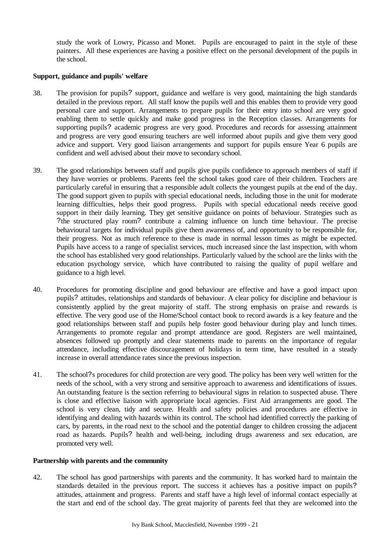study the work of Lowry, Picasso and Monet. Pupils are encouraged to paint in the style of these painters. All these experiences are having a positive effect on the personal development of the pupils in the school.

#### **Support, guidance and pupils' welfare**

- 38. The provision for pupils? support, guidance and welfare is very good, maintaining the high standards detailed in the previous report. All staff know the pupils well and this enables them to provide very good personal care and support. Arrangements to prepare pupils for their entry into school are very good enabling them to settle quickly and make good progress in the Reception classes. Arrangements for supporting pupils? academic progress are very good. Procedures and records for assessing attainment and progress are very good ensuring teachers are well informed about pupils and give them very good advice and support. Very good liaison arrangements and support for pupils ensure Year 6 pupils are confident and well advised about their move to secondary school.
- 39. The good relationships between staff and pupils give pupils confidence to approach members of staff if they have worries or problems. Parents feel the school takes good care of their children. Teachers are particularly careful in ensuring that a responsible adult collects the youngest pupils at the end of the day. The good support given to pupils with special educational needs, including those in the unit for moderate learning difficulties, helps their good progress. Pupils with special educational needs receive good support in their daily learning. They get sensitive guidance on points of behaviour. Strategies such as ?the structured play room? contribute a calming influence on lunch time behaviour. The precise behavioural targets for individual pupils give them awareness of, and opportunity to be responsible for, their progress. Not as much reference to these is made in normal lesson times as might be expected. Pupils have access to a range of specialist services, much increased since the last inspection, with whom the school has established very good relationships. Particularly valued by the school are the links with the education psychology service, which have contributed to raising the quality of pupil welfare and guidance to a high level.
- 40. Procedures for promoting discipline and good behaviour are effective and have a good impact upon pupils? attitudes, relationships and standards of behaviour. A clear policy for discipline and behaviour is consistently applied by the great majority of staff. The strong emphasis on praise and rewards is effective. The very good use of the Home/School contact book to record awards is a key feature and the good relationships between staff and pupils help foster good behaviour during play and lunch times. Arrangements to promote regular and prompt attendance are good. Registers are well maintained, absences followed up promptly and clear statements made to parents on the importance of regular attendance, including effective discouragement of holidays in term time, have resulted in a steady increase in overall attendance rates since the previous inspection.
- 41. The school?s procedures for child protection are very good. The policy has been very well written for the needs of the school, with a very strong and sensitive approach to awareness and identifications of issues. An outstanding feature is the section referring to behavioural signs in relation to suspected abuse. There is close and effective liaison with appropriate local agencies. First Aid arrangements are good. The school is very clean, tidy and secure. Health and safety policies and procedures are effective in identifying and dealing with hazards within its control. The school had identified correctly the parking of cars, by parents, in the road next to the school and the potential danger to children crossing the adjacent road as hazards. Pupils? health and well-being, including drugs awareness and sex education, are promoted very well.

#### **Partnership with parents and the community**

42. The school has good partnerships with parents and the community. It has worked hard to maintain the standards detailed in the previous report. The success it achieves has a positive impact on pupils? attitudes, attainment and progress. Parents and staff have a high level of informal contact especially at the start and end of the school day. The great majority of parents feel that they are welcomed into the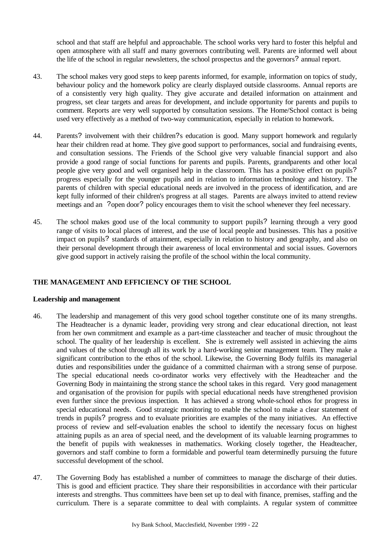school and that staff are helpful and approachable. The school works very hard to foster this helpful and open atmosphere with all staff and many governors contributing well. Parents are informed well about the life of the school in regular newsletters, the school prospectus and the governors? annual report.

- 43. The school makes very good steps to keep parents informed, for example, information on topics of study, behaviour policy and the homework policy are clearly displayed outside classrooms. Annual reports are of a consistently very high quality. They give accurate and detailed information on attainment and progress, set clear targets and areas for development, and include opportunity for parents and pupils to comment. Reports are very well supported by consultation sessions. The Home/School contact is being used very effectively as a method of two-way communication, especially in relation to homework.
- 44. Parents? involvement with their children?s education is good. Many support homework and regularly hear their children read at home. They give good support to performances, social and fundraising events, and consultation sessions. The Friends of the School give very valuable financial support and also provide a good range of social functions for parents and pupils. Parents, grandparents and other local people give very good and well organised help in the classroom. This has a positive effect on pupils? progress especially for the younger pupils and in relation to information technology and history. The parents of children with special educational needs are involved in the process of identification, and are kept fully informed of their children's progress at all stages. Parents are always invited to attend review meetings and an ?open door? policy encourages them to visit the school whenever they feel necessary.
- 45. The school makes good use of the local community to support pupils? learning through a very good range of visits to local places of interest, and the use of local people and businesses. This has a positive impact on pupils? standards of attainment, especially in relation to history and geography, and also on their personal development through their awareness of local environmental and social issues. Governors give good support in actively raising the profile of the school within the local community.

#### **THE MANAGEMENT AND EFFICIENCY OF THE SCHOOL**

#### **Leadership and management**

- 46. The leadership and management of this very good school together constitute one of its many strengths. The Headteacher is a dynamic leader, providing very strong and clear educational direction, not least from her own commitment and example as a part-time classteacher and teacher of music throughout the school. The quality of her leadership is excellent. She is extremely well assisted in achieving the aims and values of the school through all its work by a hard-working senior management team. They make a significant contribution to the ethos of the school. Likewise, the Governing Body fulfils its managerial duties and responsibilities under the guidance of a committed chairman with a strong sense of purpose. The special educational needs co-ordinator works very effectively with the Headteacher and the Governing Body in maintaining the strong stance the school takes in this regard. Very good management and organisation of the provision for pupils with special educational needs have strengthened provision even further since the previous inspection. It has achieved a strong whole-school ethos for progress in special educational needs. Good strategic monitoring to enable the school to make a clear statement of trends in pupils? progress and to evaluate priorities are examples of the many initiatives. An effective process of review and self-evaluation enables the school to identify the necessary focus on highest attaining pupils as an area of special need, and the development of its valuable learning programmes to the benefit of pupils with weaknesses in mathematics. Working closely together, the Headteacher, governors and staff combine to form a formidable and powerful team determinedly pursuing the future successful development of the school.
- 47. The Governing Body has established a number of committees to manage the discharge of their duties. This is good and efficient practice. They share their responsibilities in accordance with their particular interests and strengths. Thus committees have been set up to deal with finance, premises, staffing and the curriculum. There is a separate committee to deal with complaints. A regular system of committee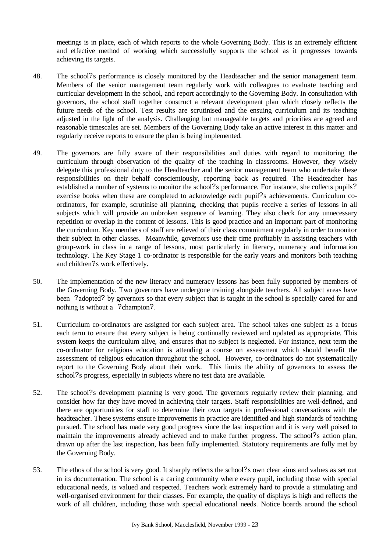meetings is in place, each of which reports to the whole Governing Body. This is an extremely efficient and effective method of working which successfully supports the school as it progresses towards achieving its targets.

- 48. The school?s performance is closely monitored by the Headteacher and the senior management team. Members of the senior management team regularly work with colleagues to evaluate teaching and curricular development in the school, and report accordingly to the Governing Body. In consultation with governors, the school staff together construct a relevant development plan which closely reflects the future needs of the school. Test results are scrutinised and the ensuing curriculum and its teaching adjusted in the light of the analysis. Challenging but manageable targets and priorities are agreed and reasonable timescales are set. Members of the Governing Body take an active interest in this matter and regularly receive reports to ensure the plan is being implemented.
- 49. The governors are fully aware of their responsibilities and duties with regard to monitoring the curriculum through observation of the quality of the teaching in classrooms. However, they wisely delegate this professional duty to the Headteacher and the senior management team who undertake these responsibilities on their behalf conscientiously, reporting back as required. The Headteacher has established a number of systems to monitor the school?s performance. For instance, she collects pupils? exercise books when these are completed to acknowledge each pupil?s achievements. Curriculum coordinators, for example, scrutinise all planning, checking that pupils receive a series of lessons in all subjects which will provide an unbroken sequence of learning. They also check for any unnecessary repetition or overlap in the content of lessons. This is good practice and an important part of monitoring the curriculum. Key members of staff are relieved of their class commitment regularly in order to monitor their subject in other classes. Meanwhile, governors use their time profitably in assisting teachers with group-work in class in a range of lessons, most particularly in literacy, numeracy and information technology. The Key Stage 1 co-ordinator is responsible for the early years and monitors both teaching and children?s work effectively.
- 50. The implementation of the new literacy and numeracy lessons has been fully supported by members of the Governing Body. Two governors have undergone training alongside teachers. All subject areas have been ?adopted? by governors so that every subject that is taught in the school is specially cared for and nothing is without a ?champion?.
- 51. Curriculum co-ordinators are assigned for each subject area. The school takes one subject as a focus each term to ensure that every subject is being continually reviewed and updated as appropriate. This system keeps the curriculum alive, and ensures that no subject is neglected. For instance, next term the co-ordinator for religious education is attending a course on assessment which should benefit the assessment of religious education throughout the school. However, co-ordinators do not systematically report to the Governing Body about their work. This limits the ability of governors to assess the school?s progress, especially in subjects where no test data are available.
- 52. The school?s development planning is very good. The governors regularly review their planning, and consider how far they have moved in achieving their targets. Staff responsibilities are well-defined, and there are opportunities for staff to determine their own targets in professional conversations with the headteacher. These systems ensure improvements in practice are identified and high standards of teaching pursued. The school has made very good progress since the last inspection and it is very well poised to maintain the improvements already achieved and to make further progress. The school?s action plan, drawn up after the last inspection, has been fully implemented. Statutory requirements are fully met by the Governing Body.
- 53. The ethos of the school is very good. It sharply reflects the school?s own clear aims and values as set out in its documentation. The school is a caring community where every pupil, including those with special educational needs, is valued and respected. Teachers work extremely hard to provide a stimulating and well-organised environment for their classes. For example, the quality of displays is high and reflects the work of all children, including those with special educational needs. Notice boards around the school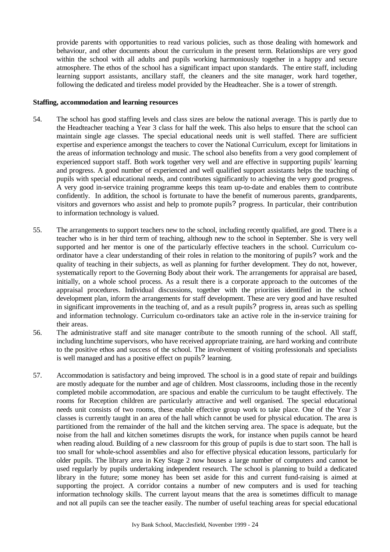provide parents with opportunities to read various policies, such as those dealing with homework and behaviour, and other documents about the curriculum in the present term. Relationships are very good within the school with all adults and pupils working harmoniously together in a happy and secure atmosphere. The ethos of the school has a significant impact upon standards. The entire staff, including learning support assistants, ancillary staff, the cleaners and the site manager, work hard together, following the dedicated and tireless model provided by the Headteacher. She is a tower of strength.

#### **Staffing, accommodation and learning resources**

- 54. The school has good staffing levels and class sizes are below the national average. This is partly due to the Headteacher teaching a Year 3 class for half the week. This also helps to ensure that the school can maintain single age classes. The special educational needs unit is well staffed. There are sufficient expertise and experience amongst the teachers to cover the National Curriculum, except for limitations in the areas of information technology and music. The school also benefits from a very good complement of experienced support staff. Both work together very well and are effective in supporting pupils' learning and progress. A good number of experienced and well qualified support assistants helps the teaching of pupils with special educational needs, and contributes significantly to achieving the very good progress. A very good in-service training programme keeps this team up-to-date and enables them to contribute confidently. In addition, the school is fortunate to have the benefit of numerous parents, grandparents, visitors and governors who assist and help to promote pupils? progress. In particular, their contribution to information technology is valued.
- 55. The arrangements to support teachers new to the school, including recently qualified, are good. There is a teacher who is in her third term of teaching, although new to the school in September. She is very well supported and her mentor is one of the particularly effective teachers in the school. Curriculum coordinator have a clear understanding of their roles in relation to the monitoring of pupils? work and the quality of teaching in their subjects, as well as planning for further development. They do not, however, systematically report to the Governing Body about their work. The arrangements for appraisal are based, initially, on a whole school process. As a result there is a corporate approach to the outcomes of the appraisal procedures. Individual discussions, together with the priorities identified in the school development plan, inform the arrangements for staff development. These are very good and have resulted in significant improvements in the teaching of, and as a result pupils? progress in, areas such as spelling and information technology. Curriculum co-ordinators take an active role in the in-service training for their areas.
- 56. The administrative staff and site manager contribute to the smooth running of the school. All staff, including lunchtime supervisors, who have received appropriate training, are hard working and contribute to the positive ethos and success of the school. The involvement of visiting professionals and specialists is well managed and has a positive effect on pupils? learning.
- 57. Accommodation is satisfactory and being improved. The school is in a good state of repair and buildings are mostly adequate for the number and age of children. Most classrooms, including those in the recently completed mobile accommodation, are spacious and enable the curriculum to be taught effectively. The rooms for Reception children are particularly attractive and well organised. The special educational needs unit consists of two rooms, these enable effective group work to take place. One of the Year 3 classes is currently taught in an area of the hall which cannot be used for physical education. The area is partitioned from the remainder of the hall and the kitchen serving area. The space is adequate, but the noise from the hall and kitchen sometimes disrupts the work, for instance when pupils cannot be heard when reading aloud. Building of a new classroom for this group of pupils is due to start soon. The hall is too small for whole-school assemblies and also for effective physical education lessons, particularly for older pupils. The library area in Key Stage 2 now houses a large number of computers and cannot be used regularly by pupils undertaking independent research. The school is planning to build a dedicated library in the future; some money has been set aside for this and current fund-raising is aimed at supporting the project. A corridor contains a number of new computers and is used for teaching information technology skills. The current layout means that the area is sometimes difficult to manage and not all pupils can see the teacher easily. The number of useful teaching areas for special educational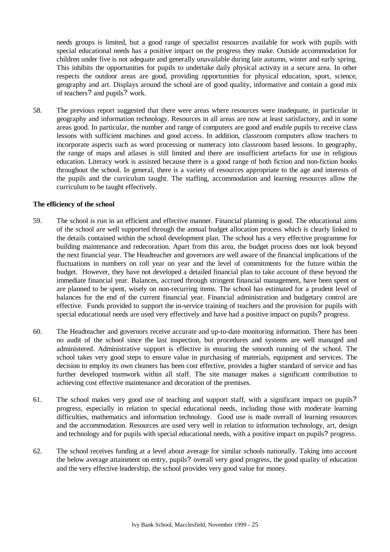needs groups is limited, but a good range of specialist resources available for work with pupils with special educational needs has a positive impact on the progress they make. Outside accommodation for children under five is not adequate and generally unavailable during late autumn, winter and early spring. This inhibits the opportunities for pupils to undertake daily physical activity in a secure area. In other respects the outdoor areas are good, providing opportunities for physical education, sport, science, geography and art. Displays around the school are of good quality, informative and contain a good mix of teachers? and pupils? work.

58. The previous report suggested that there were areas where resources were inadequate, in particular in geography and information technology. Resources in all areas are now at least satisfactory, and in some areas good. In particular, the number and range of computers are good and enable pupils to receive class lessons with sufficient machines and good access. In addition, classroom computers allow teachers to incorporate aspects such as word processing or numeracy into classroom based lessons. In geography, the range of maps and atlases is still limited and there are insufficient artefacts for use in religious education. Literacy work is assisted because there is a good range of both fiction and non-fiction books throughout the school. In general, there is a variety of resources appropriate to the age and interests of the pupils and the curriculum taught. The staffing, accommodation and learning resources allow the curriculum to be taught effectively.

#### **The efficiency of the school**

- 59. The school is run in an efficient and effective manner. Financial planning is good. The educational aims of the school are well supported through the annual budget allocation process which is clearly linked to the details contained within the school development plan. The school has a very effective programme for building maintenance and redecoration. Apart from this area, the budget process does not look beyond the next financial year. The Headteacher and governors are well aware of the financial implications of the fluctuations in numbers on roll year on year and the level of commitments for the future within the budget. However, they have not developed a detailed financial plan to take account of these beyond the immediate financial year. Balances, accrued through stringent financial management, have been spent or are planned to be spent, wisely on non-recurring items. The school has estimated for a prudent level of balances for the end of the current financial year. Financial administration and budgetary control are effective. Funds provided to support the in-service training of teachers and the provision for pupils with special educational needs are used very effectively and have had a positive impact on pupils? progress.
- 60. The Headteacher and governors receive accurate and up-to-date monitoring information. There has been no audit of the school since the last inspection, but procedures and systems are well managed and administered. Administrative support is effective in ensuring the smooth running of the school. The school takes very good steps to ensure value in purchasing of materials, equipment and services. The decision to employ its own cleaners has been cost effective, provides a higher standard of service and has further developed teamwork within all staff. The site manager makes a significant contribution to achieving cost effective maintenance and decoration of the premises.
- 61. The school makes very good use of teaching and support staff, with a significant impact on pupils? progress, especially in relation to special educational needs, including those with moderate learning difficulties, mathematics and information technology. Good use is made overall of learning resources and the accommodation. Resources are used very well in relation to information technology, art, design and technology and for pupils with special educational needs, with a positive impact on pupils? progress.
- 62. The school receives funding at a level about average for similar schools nationally. Taking into account the below average attainment on entry, pupils? overall very good progress, the good quality of education and the very effective leadership, the school provides very good value for money.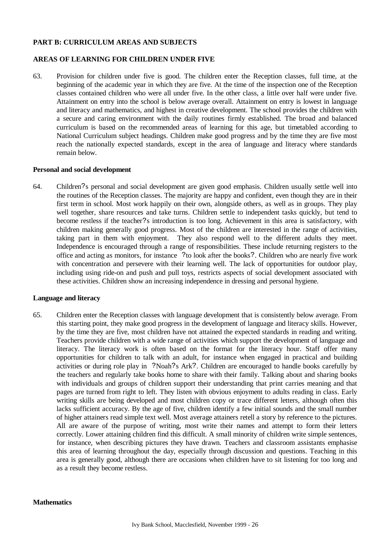## **PART B: CURRICULUM AREAS AND SUBJECTS**

## **AREAS OF LEARNING FOR CHILDREN UNDER FIVE**

63. Provision for children under five is good. The children enter the Reception classes, full time, at the beginning of the academic year in which they are five. At the time of the inspection one of the Reception classes contained children who were all under five. In the other class, a little over half were under five. Attainment on entry into the school is below average overall. Attainment on entry is lowest in language and literacy and mathematics, and highest in creative development. The school provides the children with a secure and caring environment with the daily routines firmly established. The broad and balanced curriculum is based on the recommended areas of learning for this age, but timetabled according to National Curriculum subject headings. Children make good progress and by the time they are five most reach the nationally expected standards, except in the area of language and literacy where standards remain below.

#### **Personal and social development**

64. Children?s personal and social development are given good emphasis. Children usually settle well into the routines of the Reception classes. The majority are happy and confident, even though they are in their first term in school. Most work happily on their own, alongside others, as well as in groups. They play well together, share resources and take turns. Children settle to independent tasks quickly, but tend to become restless if the teacher?s introduction is too long. Achievement in this area is satisfactory, with children making generally good progress. Most of the children are interested in the range of activities, taking part in them with enjoyment. They also respond well to the different adults they meet. Independence is encouraged through a range of responsibilities. These include returning registers to the office and acting as monitors, for instance ?to look after the books?. Children who are nearly five work with concentration and persevere with their learning well. The lack of opportunities for outdoor play, including using ride-on and push and pull toys, restricts aspects of social development associated with these activities. Children show an increasing independence in dressing and personal hygiene.

#### **Language and literacy**

65. Children enter the Reception classes with language development that is consistently below average. From this starting point, they make good progress in the development of language and literacy skills. However, by the time they are five, most children have not attained the expected standards in reading and writing. Teachers provide children with a wide range of activities which support the development of language and literacy. The literacy work is often based on the format for the literacy hour. Staff offer many opportunities for children to talk with an adult, for instance when engaged in practical and building activities or during role play in ?Noah?s Ark?. Children are encouraged to handle books carefully by the teachers and regularly take books home to share with their family. Talking about and sharing books with individuals and groups of children support their understanding that print carries meaning and that pages are turned from right to left. They listen with obvious enjoyment to adults reading in class. Early writing skills are being developed and most children copy or trace different letters, although often this lacks sufficient accuracy. By the age of five, children identify a few initial sounds and the small number of higher attainers read simple text well. Most average attainers retell a story by reference to the pictures. All are aware of the purpose of writing, most write their names and attempt to form their letters correctly. Lower attaining children find this difficult. A small minority of children write simple sentences, for instance, when describing pictures they have drawn. Teachers and classroom assistants emphasise this area of learning throughout the day, especially through discussion and questions. Teaching in this area is generally good, although there are occasions when children have to sit listening for too long and as a result they become restless.

#### **Mathematics**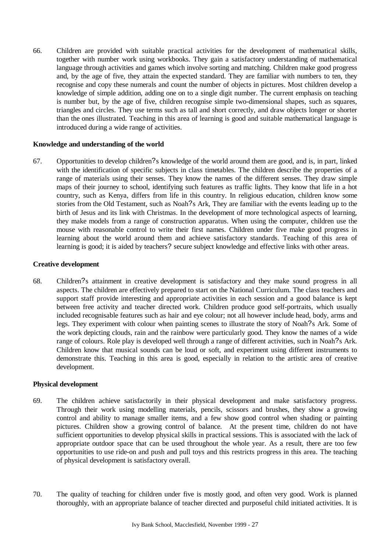66. Children are provided with suitable practical activities for the development of mathematical skills, together with number work using workbooks. They gain a satisfactory understanding of mathematical language through activities and games which involve sorting and matching. Children make good progress and, by the age of five, they attain the expected standard. They are familiar with numbers to ten, they recognise and copy these numerals and count the number of objects in pictures. Most children develop a knowledge of simple addition, adding one on to a single digit number. The current emphasis on teaching is number but, by the age of five, children recognise simple two-dimensional shapes, such as squares, triangles and circles. They use terms such as tall and short correctly, and draw objects longer or shorter than the ones illustrated. Teaching in this area of learning is good and suitable mathematical language is introduced during a wide range of activities.

#### **Knowledge and understanding of the world**

67. Opportunities to develop children?s knowledge of the world around them are good, and is, in part, linked with the identification of specific subjects in class timetables. The children describe the properties of a range of materials using their senses. They know the names of the different senses. They draw simple maps of their journey to school, identifying such features as traffic lights. They know that life in a hot country, such as Kenya, differs from life in this country. In religious education, children know some stories from the Old Testament, such as Noah?s Ark, They are familiar with the events leading up to the birth of Jesus and its link with Christmas. In the development of more technological aspects of learning, they make models from a range of construction apparatus. When using the computer, children use the mouse with reasonable control to write their first names. Children under five make good progress in learning about the world around them and achieve satisfactory standards. Teaching of this area of learning is good; it is aided by teachers? secure subject knowledge and effective links with other areas.

#### **Creative development**

68. Children?s attainment in creative development is satisfactory and they make sound progress in all aspects. The children are effectively prepared to start on the National Curriculum. The class teachers and support staff provide interesting and appropriate activities in each session and a good balance is kept between free activity and teacher directed work. Children produce good self-portraits, which usually included recognisable features such as hair and eye colour; not all however include head, body, arms and legs. They experiment with colour when painting scenes to illustrate the story of Noah?s Ark. Some of the work depicting clouds, rain and the rainbow were particularly good. They know the names of a wide range of colours. Role play is developed well through a range of different activities, such in Noah?s Ark. Children know that musical sounds can be loud or soft, and experiment using different instruments to demonstrate this. Teaching in this area is good, especially in relation to the artistic area of creative development.

## **Physical development**

- 69. The children achieve satisfactorily in their physical development and make satisfactory progress. Through their work using modelling materials, pencils, scissors and brushes, they show a growing control and ability to manage smaller items, and a few show good control when shading or painting pictures. Children show a growing control of balance. At the present time, children do not have sufficient opportunities to develop physical skills in practical sessions. This is associated with the lack of appropriate outdoor space that can be used throughout the whole year. As a result, there are too few opportunities to use ride-on and push and pull toys and this restricts progress in this area. The teaching of physical development is satisfactory overall.
- 70. The quality of teaching for children under five is mostly good, and often very good. Work is planned thoroughly, with an appropriate balance of teacher directed and purposeful child initiated activities. It is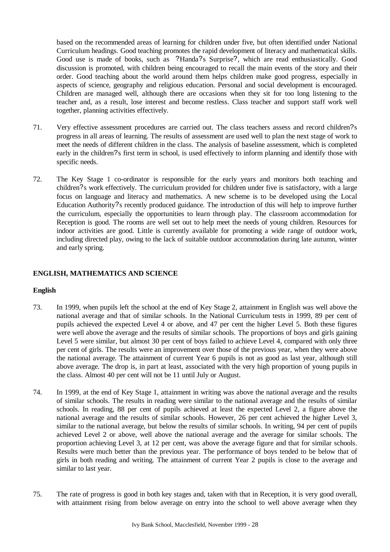based on the recommended areas of learning for children under five, but often identified under National Curriculum headings. Good teaching promotes the rapid development of literacy and mathematical skills. Good use is made of books, such as ?Handa?s Surprise?, which are read enthusiastically. Good discussion is promoted, with children being encouraged to recall the main events of the story and their order. Good teaching about the world around them helps children make good progress, especially in aspects of science, geography and religious education. Personal and social development is encouraged. Children are managed well, although there are occasions when they sit for too long listening to the teacher and, as a result, lose interest and become restless. Class teacher and support staff work well together, planning activities effectively.

- 71. Very effective assessment procedures are carried out. The class teachers assess and record children?s progress in all areas of learning. The results of assessment are used well to plan the next stage of work to meet the needs of different children in the class. The analysis of baseline assessment, which is completed early in the children?s first term in school, is used effectively to inform planning and identify those with specific needs.
- 72. The Key Stage 1 co-ordinator is responsible for the early years and monitors both teaching and children?s work effectively. The curriculum provided for children under five is satisfactory, with a large focus on language and literacy and mathematics. A new scheme is to be developed using the Local Education Authority?s recently produced guidance. The introduction of this will help to improve further the curriculum, especially the opportunities to learn through play. The classroom accommodation for Reception is good. The rooms are well set out to help meet the needs of young children. Resources for indoor activities are good. Little is currently available for promoting a wide range of outdoor work, including directed play, owing to the lack of suitable outdoor accommodation during late autumn, winter and early spring.

# **ENGLISH, MATHEMATICS AND SCIENCE**

#### **English**

- 73. In 1999, when pupils left the school at the end of Key Stage 2, attainment in English was well above the national average and that of similar schools. In the National Curriculum tests in 1999, 89 per cent of pupils achieved the expected Level 4 or above, and 47 per cent the higher Level 5. Both these figures were well above the average and the results of similar schools. The proportions of boys and girls gaining Level 5 were similar, but almost 30 per cent of boys failed to achieve Level 4, compared with only three per cent of girls. The results were an improvement over those of the previous year, when they were above the national average. The attainment of current Year 6 pupils is not as good as last year, although still above average. The drop is, in part at least, associated with the very high proportion of young pupils in the class. Almost 40 per cent will not be 11 until July or August.
- 74. In 1999, at the end of Key Stage 1, attainment in writing was above the national average and the results of similar schools. The results in reading were similar to the national average and the results of similar schools. In reading, 88 per cent of pupils achieved at least the expected Level 2, a figure above the national average and the results of similar schools. However, 26 per cent achieved the higher Level 3, similar to the national average, but below the results of similar schools. In writing, 94 per cent of pupils achieved Level 2 or above, well above the national average and the average for similar schools. The proportion achieving Level 3, at 12 per cent, was above the average figure and that for similar schools. Results were much better than the previous year. The performance of boys tended to be below that of girls in both reading and writing. The attainment of current Year 2 pupils is close to the average and similar to last year.
- 75. The rate of progress is good in both key stages and, taken with that in Reception, it is very good overall, with attainment rising from below average on entry into the school to well above average when they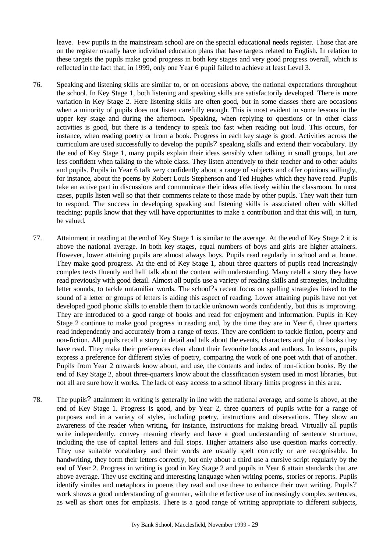leave. Few pupils in the mainstream school are on the special educational needs register. Those that are on the register usually have individual education plans that have targets related to English. In relation to these targets the pupils make good progress in both key stages and very good progress overall, which is reflected in the fact that, in 1999, only one Year 6 pupil failed to achieve at least Level 3.

- 76. Speaking and listening skills are similar to, or on occasions above, the national expectations throughout the school. In Key Stage 1, both listening and speaking skills are satisfactorily developed. There is more variation in Key Stage 2. Here listening skills are often good, but in some classes there are occasions when a minority of pupils does not listen carefully enough. This is most evident in some lessons in the upper key stage and during the afternoon. Speaking, when replying to questions or in other class activities is good, but there is a tendency to speak too fast when reading out loud. This occurs, for instance, when reading poetry or from a book. Progress in each key stage is good. Activities across the curriculum are used successfully to develop the pupils? speaking skills and extend their vocabulary. By the end of Key Stage 1, many pupils explain their ideas sensibly when talking in small groups, but are less confident when talking to the whole class. They listen attentively to their teacher and to other adults and pupils. Pupils in Year 6 talk very confidently about a range of subjects and offer opinions willingly, for instance, about the poems by Robert Louis Stephenson and Ted Hughes which they have read. Pupils take an active part in discussions and communicate their ideas effectively within the classroom. In most cases, pupils listen well so that their comments relate to those made by other pupils. They wait their turn to respond. The success in developing speaking and listening skills is associated often with skilled teaching; pupils know that they will have opportunities to make a contribution and that this will, in turn, be valued.
- 77. Attainment in reading at the end of Key Stage 1 is similar to the average. At the end of Key Stage 2 it is above the national average. In both key stages, equal numbers of boys and girls are higher attainers. However, lower attaining pupils are almost always boys. Pupils read regularly in school and at home. They make good progress. At the end of Key Stage 1, about three quarters of pupils read increasingly complex texts fluently and half talk about the content with understanding. Many retell a story they have read previously with good detail. Almost all pupils use a variety of reading skills and strategies, including letter sounds, to tackle unfamiliar words. The school?s recent focus on spelling strategies linked to the sound of a letter or groups of letters is aiding this aspect of reading. Lower attaining pupils have not yet developed good phonic skills to enable them to tackle unknown words confidently, but this is improving. They are introduced to a good range of books and read for enjoyment and information. Pupils in Key Stage 2 continue to make good progress in reading and, by the time they are in Year 6, three quarters read independently and accurately from a range of texts. They are confident to tackle fiction, poetry and non-fiction. All pupils recall a story in detail and talk about the events, characters and plot of books they have read. They make their preferences clear about their favourite books and authors. In lessons, pupils express a preference for different styles of poetry, comparing the work of one poet with that of another. Pupils from Year 2 onwards know about, and use, the contents and index of non-fiction books. By the end of Key Stage 2, about three-quarters know about the classification system used in most libraries, but not all are sure how it works. The lack of easy access to a school library limits progress in this area.
- 78. The pupils? attainment in writing is generally in line with the national average, and some is above, at the end of Key Stage 1. Progress is good, and by Year 2, three quarters of pupils write for a range of purposes and in a variety of styles, including poetry, instructions and observations. They show an awareness of the reader when writing, for instance, instructions for making bread. Virtually all pupils write independently, convey meaning clearly and have a good understanding of sentence structure, including the use of capital letters and full stops. Higher attainers also use question marks correctly. They use suitable vocabulary and their words are usually spelt correctly or are recognisable. In handwriting, they form their letters correctly, but only about a third use a cursive script regularly by the end of Year 2. Progress in writing is good in Key Stage 2 and pupils in Year 6 attain standards that are above average. They use exciting and interesting language when writing poems, stories or reports. Pupils identify similes and metaphors in poems they read and use these to enhance their own writing. Pupils? work shows a good understanding of grammar, with the effective use of increasingly complex sentences, as well as short ones for emphasis. There is a good range of writing appropriate to different subjects,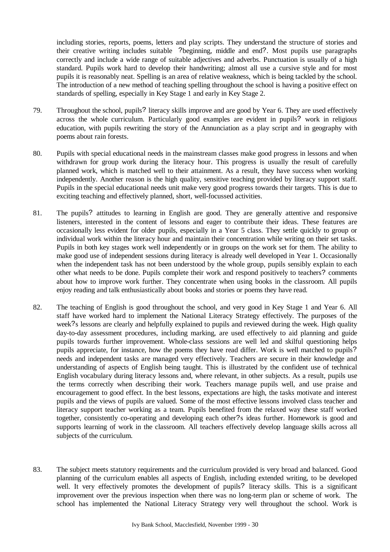including stories, reports, poems, letters and play scripts. They understand the structure of stories and their creative writing includes suitable ?beginning, middle and end?. Most pupils use paragraphs correctly and include a wide range of suitable adjectives and adverbs. Punctuation is usually of a high standard. Pupils work hard to develop their handwriting; almost all use a cursive style and for most pupils it is reasonably neat. Spelling is an area of relative weakness, which is being tackled by the school. The introduction of a new method of teaching spelling throughout the school is having a positive effect on standards of spelling, especially in Key Stage 1 and early in Key Stage 2.

- 79. Throughout the school, pupils? literacy skills improve and are good by Year 6. They are used effectively across the whole curriculum. Particularly good examples are evident in pupils? work in religious education, with pupils rewriting the story of the Annunciation as a play script and in geography with poems about rain forests.
- 80. Pupils with special educational needs in the mainstream classes make good progress in lessons and when withdrawn for group work during the literacy hour. This progress is usually the result of carefully planned work, which is matched well to their attainment. As a result, they have success when working independently. Another reason is the high quality, sensitive teaching provided by literacy support staff. Pupils in the special educational needs unit make very good progress towards their targets. This is due to exciting teaching and effectively planned, short, well-focussed activities.
- 81. The pupils? attitudes to learning in English are good. They are generally attentive and responsive listeners, interested in the content of lessons and eager to contribute their ideas. These features are occasionally less evident for older pupils, especially in a Year 5 class. They settle quickly to group or individual work within the literacy hour and maintain their concentration while writing on their set tasks. Pupils in both key stages work well independently or in groups on the work set for them. The ability to make good use of independent sessions during literacy is already well developed in Year 1. Occasionally when the independent task has not been understood by the whole group, pupils sensibly explain to each other what needs to be done. Pupils complete their work and respond positively to teachers? comments about how to improve work further. They concentrate when using books in the classroom. All pupils enjoy reading and talk enthusiastically about books and stories or poems they have read.
- 82. The teaching of English is good throughout the school, and very good in Key Stage 1 and Year 6. All staff have worked hard to implement the National Literacy Strategy effectively. The purposes of the week?s lessons are clearly and helpfully explained to pupils and reviewed during the week. High quality day-to-day assessment procedures, including marking, are used effectively to aid planning and guide pupils towards further improvement. Whole-class sessions are well led and skilful questioning helps pupils appreciate, for instance, how the poems they have read differ. Work is well matched to pupils? needs and independent tasks are managed very effectively. Teachers are secure in their knowledge and understanding of aspects of English being taught. This is illustrated by the confident use of technical English vocabulary during literacy lessons and, where relevant, in other subjects. As a result, pupils use the terms correctly when describing their work. Teachers manage pupils well, and use praise and encouragement to good effect. In the best lessons, expectations are high, the tasks motivate and interest pupils and the views of pupils are valued. Some of the most effective lessons involved class teacher and literacy support teacher working as a team. Pupils benefited from the relaxed way these staff worked together, consistently co-operating and developing each other?s ideas further. Homework is good and supports learning of work in the classroom. All teachers effectively develop language skills across all subjects of the curriculum.
- 83. The subject meets statutory requirements and the curriculum provided is very broad and balanced. Good planning of the curriculum enables all aspects of English, including extended writing, to be developed well. It very effectively promotes the development of pupils? literacy skills. This is a significant improvement over the previous inspection when there was no long-term plan or scheme of work. The school has implemented the National Literacy Strategy very well throughout the school. Work is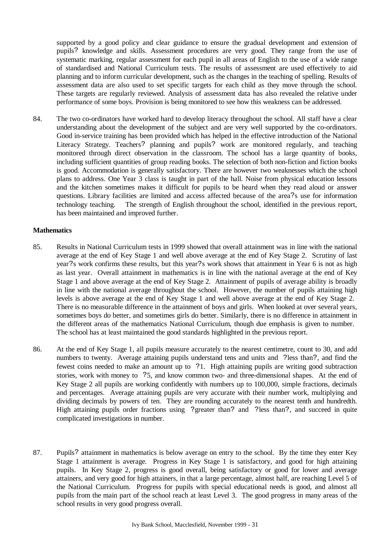supported by a good policy and clear guidance to ensure the gradual development and extension of pupils? knowledge and skills. Assessment procedures are very good. They range from the use of systematic marking, regular assessment for each pupil in all areas of English to the use of a wide range of standardised and National Curriculum tests. The results of assessment are used effectively to aid planning and to inform curricular development, such as the changes in the teaching of spelling. Results of assessment data are also used to set specific targets for each child as they move through the school. These targets are regularly reviewed. Analysis of assessment data has also revealed the relative under performance of some boys. Provision is being monitored to see how this weakness can be addressed.

84. The two co-ordinators have worked hard to develop literacy throughout the school. All staff have a clear understanding about the development of the subject and are very well supported by the co-ordinators. Good in-service training has been provided which has helped in the effective introduction of the National Literacy Strategy. Teachers? planning and pupils? work are monitored regularly, and teaching monitored through direct observation in the classroom. The school has a large quantity of books, including sufficient quantities of group reading books. The selection of both non-fiction and fiction books is good. Accommodation is generally satisfactory. There are however two weaknesses which the school plans to address. One Year 3 class is taught in part of the hall. Noise from physical education lessons and the kitchen sometimes makes it difficult for pupils to be heard when they read aloud or answer questions. Library facilities are limited and access affected because of the area?s use for information technology teaching. The strength of English throughout the school, identified in the previous report, has been maintained and improved further.

#### **Mathematics**

- 85. Results in National Curriculum tests in 1999 showed that overall attainment was in line with the national average at the end of Key Stage 1 and well above average at the end of Key Stage 2. Scrutiny of last year?s work confirms these results, but this year?s work shows that attainment in Year 6 is not as high as last year. Overall attainment in mathematics is in line with the national average at the end of Key Stage 1 and above average at the end of Key Stage 2. Attainment of pupils of average ability is broadly in line with the national average throughout the school. However, the number of pupils attaining high levels is above average at the end of Key Stage 1 and well above average at the end of Key Stage 2. There is no measurable difference in the attainment of boys and girls. When looked at over several years, sometimes boys do better, and sometimes girls do better. Similarly, there is no difference in attainment in the different areas of the mathematics National Curriculum, though due emphasis is given to number. The school has at least maintained the good standards highlighted in the previous report.
- 86. At the end of Key Stage 1, all pupils measure accurately to the nearest centimetre, count to 30, and add numbers to twenty. Average attaining pupils understand tens and units and ?less than?, and find the fewest coins needed to make an amount up to ?1. High attaining pupils are writing good subtraction stories, work with money to ?5, and know common two- and three-dimensional shapes. At the end of Key Stage 2 all pupils are working confidently with numbers up to 100,000, simple fractions, decimals and percentages. Average attaining pupils are very accurate with their number work, multiplying and dividing decimals by powers of ten. They are rounding accurately to the nearest tenth and hundredth. High attaining pupils order fractions using ?greater than? and ?less than?, and succeed in quite complicated investigations in number.
- 87. Pupils? attainment in mathematics is below average on entry to the school. By the time they enter Key Stage 1 attainment is average. Progress in Key Stage 1 is satisfactory, and good for high attaining pupils. In Key Stage 2, progress is good overall, being satisfactory or good for lower and average attainers, and very good for high attainers, in that a large percentage, almost half, are reaching Level 5 of the National Curriculum. Progress for pupils with special educational needs is good, and almost all pupils from the main part of the school reach at least Level 3. The good progress in many areas of the school results in very good progress overall.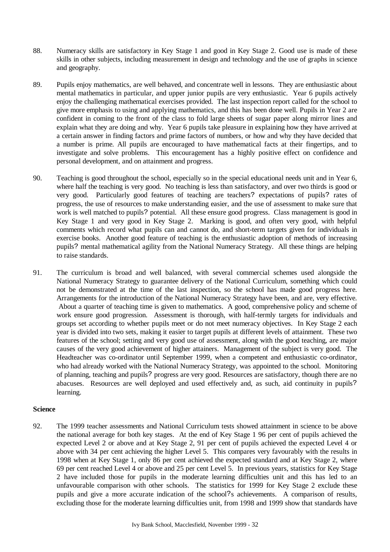- 88. Numeracy skills are satisfactory in Key Stage 1 and good in Key Stage 2. Good use is made of these skills in other subjects, including measurement in design and technology and the use of graphs in science and geography.
- 89. Pupils enjoy mathematics, are well behaved, and concentrate well in lessons. They are enthusiastic about mental mathematics in particular, and upper junior pupils are very enthusiastic. Year 6 pupils actively enjoy the challenging mathematical exercises provided. The last inspection report called for the school to give more emphasis to using and applying mathematics, and this has been done well. Pupils in Year 2 are confident in coming to the front of the class to fold large sheets of sugar paper along mirror lines and explain what they are doing and why. Year 6 pupils take pleasure in explaining how they have arrived at a certain answer in finding factors and prime factors of numbers, or how and why they have decided that a number is prime. All pupils are encouraged to have mathematical facts at their fingertips, and to investigate and solve problems. This encouragement has a highly positive effect on confidence and personal development, and on attainment and progress.
- 90. Teaching is good throughout the school, especially so in the special educational needs unit and in Year 6, where half the teaching is very good. No teaching is less than satisfactory, and over two thirds is good or very good. Particularly good features of teaching are teachers? expectations of pupils? rates of progress, the use of resources to make understanding easier, and the use of assessment to make sure that work is well matched to pupils? potential. All these ensure good progress. Class management is good in Key Stage 1 and very good in Key Stage 2. Marking is good, and often very good, with helpful comments which record what pupils can and cannot do, and short-term targets given for individuals in exercise books. Another good feature of teaching is the enthusiastic adoption of methods of increasing pupils? mental mathematical agility from the National Numeracy Strategy. All these things are helping to raise standards.
- 91. The curriculum is broad and well balanced, with several commercial schemes used alongside the National Numeracy Strategy to guarantee delivery of the National Curriculum, something which could not be demonstrated at the time of the last inspection, so the school has made good progress here. Arrangements for the introduction of the National Numeracy Strategy have been, and are, very effective. About a quarter of teaching time is given to mathematics. A good, comprehensive policy and scheme of work ensure good progression. Assessment is thorough, with half-termly targets for individuals and groups set according to whether pupils meet or do not meet numeracy objectives. In Key Stage 2 each year is divided into two sets, making it easier to target pupils at different levels of attainment. These two features of the school; setting and very good use of assessment, along with the good teaching, are major causes of the very good achievement of higher attainers. Management of the subject is very good. The Headteacher was co-ordinator until September 1999, when a competent and enthusiastic co-ordinator, who had already worked with the National Numeracy Strategy, was appointed to the school. Monitoring of planning, teaching and pupils? progress are very good. Resources are satisfactory, though there are no abacuses. Resources are well deployed and used effectively and, as such, aid continuity in pupils? learning.

# **Science**

92. The 1999 teacher assessments and National Curriculum tests showed attainment in science to be above the national average for both key stages. At the end of Key Stage 1 96 per cent of pupils achieved the expected Level 2 or above and at Key Stage 2, 91 per cent of pupils achieved the expected Level 4 or above with 34 per cent achieving the higher Level 5. This compares very favourably with the results in 1998 when at Key Stage 1, only 86 per cent achieved the expected standard and at Key Stage 2, where 69 per cent reached Level 4 or above and 25 per cent Level 5. In previous years, statistics for Key Stage 2 have included those for pupils in the moderate learning difficulties unit and this has led to an unfavourable comparison with other schools. The statistics for 1999 for Key Stage 2 exclude these pupils and give a more accurate indication of the school?s achievements. A comparison of results, excluding those for the moderate learning difficulties unit, from 1998 and 1999 show that standards have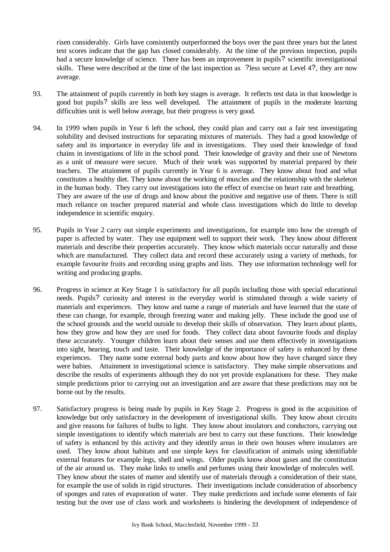risen considerably. Girls have consistently outperformed the boys over the past three years but the latest test scores indicate that the gap has closed considerably. At the time of the previous inspection, pupils had a secure knowledge of science. There has been an improvement in pupils? scientific investigational skills. These were described at the time of the last inspection as ?less secure at Level 4?, they are now average.

- 93. The attainment of pupils currently in both key stages is average. It reflects test data in that knowledge is good but pupils? skills are less well developed. The attainment of pupils in the moderate learning difficulties unit is well below average, but their progress is very good.
- 94. In 1999 when pupils in Year 6 left the school, they could plan and carry out a fair test investigating solubility and devised instructions for separating mixtures of materials. They had a good knowledge of safety and its importance in everyday life and in investigations. They used their knowledge of food chains in investigations of life in the school pond. Their knowledge of gravity and their use of Newtons as a unit of measure were secure. Much of their work was supported by material prepared by their teachers. The attainment of pupils currently in Year 6 is average. They know about food and what constitutes a healthy diet. They know about the working of muscles and the relationship with the skeleton in the human body. They carry out investigations into the effect of exercise on heart rate and breathing. They are aware of the use of drugs and know about the positive and negative use of them. There is still much reliance on teacher prepared material and whole class investigations which do little to develop independence in scientific enquiry.
- 95. Pupils in Year 2 carry out simple experiments and investigations, for example into how the strength of paper is affected by water. They use equipment well to support their work. They know about different materials and describe their properties accurately. They know which materials occur naturally and those which are manufactured. They collect data and record these accurately using a variety of methods, for example favourite fruits and recording using graphs and lists. They use information technology well for writing and producing graphs.
- 96. Progress in science at Key Stage 1 is satisfactory for all pupils including those with special educational needs. Pupils? curiosity and interest in the everyday world is stimulated through a wide variety of materials and experiences. They know and name a range of materials and have learned that the state of these can change, for example, through freezing water and making jelly. These include the good use of the school grounds and the world outside to develop their skills of observation. They learn about plants, how they grow and how they are used for foods. They collect data about favourite foods and display these accurately. Younger children learn about their senses and use them effectively in investigations into sight, hearing, touch and taste. Their knowledge of the importance of safety is enhanced by these experiences. They name some external body parts and know about how they have changed since they were babies. Attainment in investigational science is satisfactory. They make simple observations and describe the results of experiments although they do not yet provide explanations for these. They make simple predictions prior to carrying out an investigation and are aware that these predictions may not be borne out by the results.
- 97. Satisfactory progress is being made by pupils in Key Stage 2. Progress is good in the acquisition of knowledge but only satisfactory in the development of investigational skills. They know about circuits and give reasons for failures of bulbs to light. They know about insulators and conductors, carrying out simple investigations to identify which materials are best to carry out these functions. Their knowledge of safety is enhanced by this activity and they identify areas in their own houses where insulators are used. They know about habitats and use simple keys for classification of animals using identifiable external features for example legs, shell and wings. Older pupils know about gases and the constitution of the air around us. They make links to smells and perfumes using their knowledge of molecules well. They know about the states of matter and identify use of materials through a consideration of their state, for example the use of solids in rigid structures. Their investigations include consideration of absorbency of sponges and rates of evaporation of water. They make predictions and include some elements of fair testing but the over use of class work and worksheets is hindering the development of independence of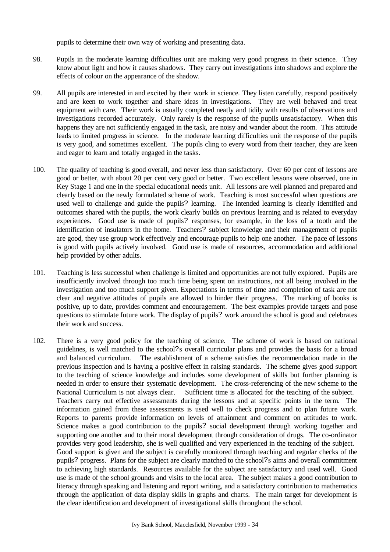pupils to determine their own way of working and presenting data.

- 98. Pupils in the moderate learning difficulties unit are making very good progress in their science. They know about light and how it causes shadows. They carry out investigations into shadows and explore the effects of colour on the appearance of the shadow.
- 99. All pupils are interested in and excited by their work in science. They listen carefully, respond positively and are keen to work together and share ideas in investigations. They are well behaved and treat equipment with care. Their work is usually completed neatly and tidily with results of observations and investigations recorded accurately. Only rarely is the response of the pupils unsatisfactory. When this happens they are not sufficiently engaged in the task, are noisy and wander about the room. This attitude leads to limited progress in science. In the moderate learning difficulties unit the response of the pupils is very good, and sometimes excellent. The pupils cling to every word from their teacher, they are keen and eager to learn and totally engaged in the tasks.
- 100. The quality of teaching is good overall, and never less than satisfactory. Over 60 per cent of lessons are good or better, with about 20 per cent very good or better. Two excellent lessons were observed, one in Key Stage 1 and one in the special educational needs unit. All lessons are well planned and prepared and clearly based on the newly formulated scheme of work. Teaching is most successful when questions are used well to challenge and guide the pupils? learning. The intended learning is clearly identified and outcomes shared with the pupils, the work clearly builds on previous learning and is related to everyday experiences. Good use is made of pupils? responses, for example, in the loss of a tooth and the identification of insulators in the home. Teachers? subject knowledge and their management of pupils are good, they use group work effectively and encourage pupils to help one another. The pace of lessons is good with pupils actively involved. Good use is made of resources, accommodation and additional help provided by other adults.
- 101. Teaching is less successful when challenge is limited and opportunities are not fully explored. Pupils are insufficiently involved through too much time being spent on instructions, not all being involved in the investigation and too much support given. Expectations in terms of time and completion of task are not clear and negative attitudes of pupils are allowed to hinder their progress. The marking of books is positive, up to date, provides comment and encouragement. The best examples provide targets and pose questions to stimulate future work. The display of pupils? work around the school is good and celebrates their work and success.
- 102. There is a very good policy for the teaching of science. The scheme of work is based on national guidelines, is well matched to the school?s overall curricular plans and provides the basis for a broad and balanced curriculum. The establishment of a scheme satisfies the recommendation made in the previous inspection and is having a positive effect in raising standards. The scheme gives good support to the teaching of science knowledge and includes some development of skills but further planning is needed in order to ensure their systematic development. The cross-referencing of the new scheme to the National Curriculum is not always clear. Sufficient time is allocated for the teaching of the subject. Teachers carry out effective assessments during the lessons and at specific points in the term. The information gained from these assessments is used well to check progress and to plan future work. Reports to parents provide information on levels of attainment and comment on attitudes to work. Science makes a good contribution to the pupils? social development through working together and supporting one another and to their moral development through consideration of drugs. The co-ordinator provides very good leadership, she is well qualified and very experienced in the teaching of the subject. Good support is given and the subject is carefully monitored through teaching and regular checks of the pupils? progress. Plans for the subject are clearly matched to the school?s aims and overall commitment to achieving high standards. Resources available for the subject are satisfactory and used well. Good use is made of the school grounds and visits to the local area. The subject makes a good contribution to literacy through speaking and listening and report writing, and a satisfactory contribution to mathematics through the application of data display skills in graphs and charts. The main target for development is the clear identification and development of investigational skills throughout the school.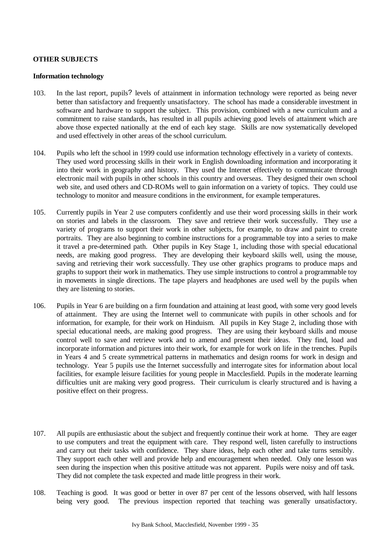## **OTHER SUBJECTS**

#### **Information technology**

- 103. In the last report, pupils? levels of attainment in information technology were reported as being never better than satisfactory and frequently unsatisfactory. The school has made a considerable investment in software and hardware to support the subject. This provision, combined with a new curriculum and a commitment to raise standards, has resulted in all pupils achieving good levels of attainment which are above those expected nationally at the end of each key stage. Skills are now systematically developed and used effectively in other areas of the school curriculum.
- 104. Pupils who left the school in 1999 could use information technology effectively in a variety of contexts. They used word processing skills in their work in English downloading information and incorporating it into their work in geography and history. They used the Internet effectively to communicate through electronic mail with pupils in other schools in this country and overseas. They designed their own school web site, and used others and CD-ROMs well to gain information on a variety of topics. They could use technology to monitor and measure conditions in the environment, for example temperatures.
- 105. Currently pupils in Year 2 use computers confidently and use their word processing skills in their work on stories and labels in the classroom. They save and retrieve their work successfully. They use a variety of programs to support their work in other subjects, for example, to draw and paint to create portraits. They are also beginning to combine instructions for a programmable toy into a series to make it travel a pre-determined path. Other pupils in Key Stage 1, including those with special educational needs, are making good progress. They are developing their keyboard skills well, using the mouse, saving and retrieving their work successfully. They use other graphics programs to produce maps and graphs to support their work in mathematics. They use simple instructions to control a programmable toy in movements in single directions. The tape players and headphones are used well by the pupils when they are listening to stories.
- 106. Pupils in Year 6 are building on a firm foundation and attaining at least good, with some very good levels of attainment. They are using the Internet well to communicate with pupils in other schools and for information, for example, for their work on Hinduism. All pupils in Key Stage 2, including those with special educational needs, are making good progress. They are using their keyboard skills and mouse control well to save and retrieve work and to amend and present their ideas. They find, load and incorporate information and pictures into their work, for example for work on life in the trenches. Pupils in Years 4 and 5 create symmetrical patterns in mathematics and design rooms for work in design and technology. Year 5 pupils use the Internet successfully and interrogate sites for information about local facilities, for example leisure facilities for young people in Macclesfield. Pupils in the moderate learning difficulties unit are making very good progress. Their curriculum is clearly structured and is having a positive effect on their progress.
- 107. All pupils are enthusiastic about the subject and frequently continue their work at home. They are eager to use computers and treat the equipment with care. They respond well, listen carefully to instructions and carry out their tasks with confidence. They share ideas, help each other and take turns sensibly. They support each other well and provide help and encouragement when needed. Only one lesson was seen during the inspection when this positive attitude was not apparent. Pupils were noisy and off task. They did not complete the task expected and made little progress in their work.
- 108. Teaching is good. It was good or better in over 87 per cent of the lessons observed, with half lessons being very good. The previous inspection reported that teaching was generally unsatisfactory.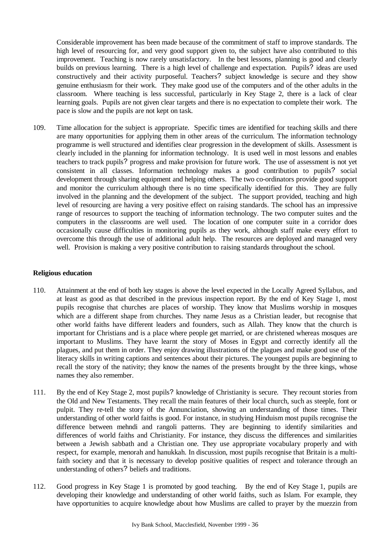Considerable improvement has been made because of the commitment of staff to improve standards. The high level of resourcing for, and very good support given to, the subject have also contributed to this improvement. Teaching is now rarely unsatisfactory. In the best lessons, planning is good and clearly builds on previous learning. There is a high level of challenge and expectation. Pupils? ideas are used constructively and their activity purposeful. Teachers? subject knowledge is secure and they show genuine enthusiasm for their work. They make good use of the computers and of the other adults in the classroom. Where teaching is less successful, particularly in Key Stage 2, there is a lack of clear learning goals. Pupils are not given clear targets and there is no expectation to complete their work. The pace is slow and the pupils are not kept on task.

109. Time allocation for the subject is appropriate. Specific times are identified for teaching skills and there are many opportunities for applying them in other areas of the curriculum. The information technology programme is well structured and identifies clear progression in the development of skills. Assessment is clearly included in the planning for information technology. It is used well in most lessons and enables teachers to track pupils? progress and make provision for future work. The use of assessment is not yet consistent in all classes. Information technology makes a good contribution to pupils? social development through sharing equipment and helping others. The two co-ordinators provide good support and monitor the curriculum although there is no time specifically identified for this. They are fully involved in the planning and the development of the subject. The support provided, teaching and high level of resourcing are having a very positive effect on raising standards. The school has an impressive range of resources to support the teaching of information technology. The two computer suites and the computers in the classrooms are well used. The location of one computer suite in a corridor does occasionally cause difficulties in monitoring pupils as they work, although staff make every effort to overcome this through the use of additional adult help. The resources are deployed and managed very well. Provision is making a very positive contribution to raising standards throughout the school.

#### **Religious education**

- 110. Attainment at the end of both key stages is above the level expected in the Locally Agreed Syllabus, and at least as good as that described in the previous inspection report. By the end of Key Stage 1, most pupils recognise that churches are places of worship. They know that Muslims worship in mosques which are a different shape from churches. They name Jesus as a Christian leader, but recognise that other world faiths have different leaders and founders, such as Allah. They know that the church is important for Christians and is a place where people get married, or are christened whereas mosques are important to Muslims. They have learnt the story of Moses in Egypt and correctly identify all the plagues, and put them in order. They enjoy drawing illustrations of the plagues and make good use of the literacy skills in writing captions and sentences about their pictures. The youngest pupils are beginning to recall the story of the nativity; they know the names of the presents brought by the three kings, whose names they also remember.
- 111. By the end of Key Stage 2, most pupils? knowledge of Christianity is secure. They recount stories from the Old and New Testaments. They recall the main features of their local church, such as steeple, font or pulpit. They re-tell the story of the Annunciation, showing an understanding of those times. Their understanding of other world faiths is good. For instance, in studying Hinduism most pupils recognise the difference between mehndi and rangoli patterns. They are beginning to identify similarities and differences of world faiths and Christianity. For instance, they discuss the differences and similarities between a Jewish sabbath and a Christian one. They use appropriate vocabulary properly and with respect, for example, menorah and hanukkah. In discussion, most pupils recognise that Britain is a multifaith society and that it is necessary to develop positive qualities of respect and tolerance through an understanding of others? beliefs and traditions.
- 112. Good progress in Key Stage 1 is promoted by good teaching. By the end of Key Stage 1, pupils are developing their knowledge and understanding of other world faiths, such as Islam. For example, they have opportunities to acquire knowledge about how Muslims are called to prayer by the muezzin from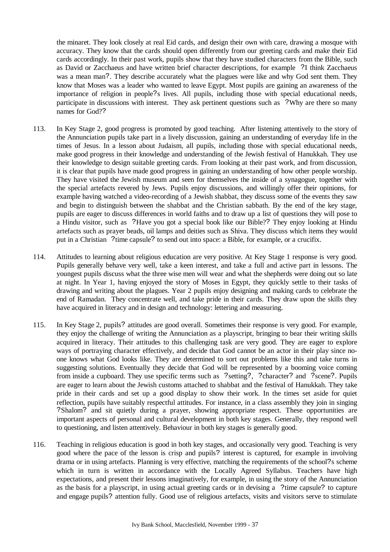the minaret. They look closely at real Eid cards, and design their own with care, drawing a mosque with accuracy. They know that the cards should open differently from our greeting cards and make their Eid cards accordingly. In their past work, pupils show that they have studied characters from the Bible, such as David or Zacchaeus and have written brief character descriptions, for example ?I think Zacchaeus was a mean man?. They describe accurately what the plagues were like and why God sent them. They know that Moses was a leader who wanted to leave Egypt. Most pupils are gaining an awareness of the importance of religion in people?s lives. All pupils, including those with special educational needs, participate in discussions with interest. They ask pertinent questions such as ?Why are there so many names for God??

- 113. In Key Stage 2, good progress is promoted by good teaching. After listening attentively to the story of the Annunciation pupils take part in a lively discussion, gaining an understanding of everyday life in the times of Jesus. In a lesson about Judaism, all pupils, including those with special educational needs, make good progress in their knowledge and understanding of the Jewish festival of Hanukkah. They use their knowledge to design suitable greeting cards. From looking at their past work, and from discussion, it is clear that pupils have made good progress in gaining an understanding of how other people worship. They have visited the Jewish museum and seen for themselves the inside of a synagogue, together with the special artefacts revered by Jews. Pupils enjoy discussions, and willingly offer their opinions, for example having watched a video-recording of a Jewish shabbat, they discuss some of the events they saw and begin to distinguish between the shabbat and the Christian sabbath. By the end of the key stage, pupils are eager to discuss differences in world faiths and to draw up a list of questions they will pose to a Hindu visitor, such as ?Have you got a special book like our Bible?? They enjoy looking at Hindu artefacts such as prayer beads, oil lamps and deities such as Shiva. They discuss which items they would put in a Christian ?time capsule? to send out into space: a Bible, for example, or a crucifix.
- 114. Attitudes to learning about religious education are very positive. At Key Stage 1 response is very good. Pupils generally behave very well, take a keen interest, and take a full and active part in lessons. The youngest pupils discuss what the three wise men will wear and what the shepherds were doing out so late at night. In Year 1, having enjoyed the story of Moses in Egypt, they quickly settle to their tasks of drawing and writing about the plagues. Year 2 pupils enjoy designing and making cards to celebrate the end of Ramadan. They concentrate well, and take pride in their cards. They draw upon the skills they have acquired in literacy and in design and technology: lettering and measuring.
- 115. In Key Stage 2, pupils? attitudes are good overall. Sometimes their response is very good. For example, they enjoy the challenge of writing the Annunciation as a playscript, bringing to bear their writing skills acquired in literacy. Their attitudes to this challenging task are very good. They are eager to explore ways of portraying character effectively, and decide that God cannot be an actor in their play since noone knows what God looks like. They are determined to sort out problems like this and take turns in suggesting solutions. Eventually they decide that God will be represented by a booming voice coming from inside a cupboard. They use specific terms such as ?setting?, ?character? and ?scene?. Pupils are eager to learn about the Jewish customs attached to shabbat and the festival of Hanukkah. They take pride in their cards and set up a good display to show their work. In the times set aside for quiet reflection, pupils have suitably respectful attitudes. For instance, in a class assembly they join in singing ?Shalom? and sit quietly during a prayer, showing appropriate respect. These opportunities are important aspects of personal and cultural development in both key stages. Generally, they respond well to questioning, and listen attentively. Behaviour in both key stages is generally good.
- 116. Teaching in religious education is good in both key stages, and occasionally very good. Teaching is very good where the pace of the lesson is crisp and pupils? interest is captured, for example in involving drama or in using artefacts. Planning is very effective, matching the requirements of the school?s scheme which in turn is written in accordance with the Locally Agreed Syllabus. Teachers have high expectations, and present their lessons imaginatively, for example, in using the story of the Annunciation as the basis for a playscript, in using actual greeting cards or in devising a ?time capsule? to capture and engage pupils? attention fully. Good use of religious artefacts, visits and visitors serve to stimulate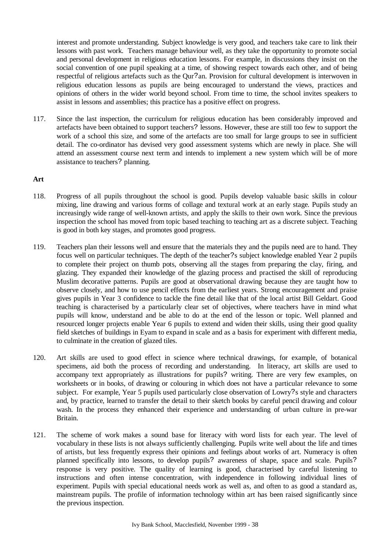interest and promote understanding. Subject knowledge is very good, and teachers take care to link their lessons with past work. Teachers manage behaviour well, as they take the opportunity to promote social and personal development in religious education lessons. For example, in discussions they insist on the social convention of one pupil speaking at a time, of showing respect towards each other, and of being respectful of religious artefacts such as the Qur?an. Provision for cultural development is interwoven in religious education lessons as pupils are being encouraged to understand the views, practices and opinions of others in the wider world beyond school. From time to time, the school invites speakers to assist in lessons and assemblies; this practice has a positive effect on progress.

117. Since the last inspection, the curriculum for religious education has been considerably improved and artefacts have been obtained to support teachers? lessons. However, these are still too few to support the work of a school this size, and some of the artefacts are too small for large groups to see in sufficient detail. The co-ordinator has devised very good assessment systems which are newly in place. She will attend an assessment course next term and intends to implement a new system which will be of more assistance to teachers? planning.

#### **Art**

- 118. Progress of all pupils throughout the school is good. Pupils develop valuable basic skills in colour mixing, line drawing and various forms of collage and textural work at an early stage. Pupils study an increasingly wide range of well-known artists, and apply the skills to their own work. Since the previous inspection the school has moved from topic based teaching to teaching art as a discrete subject. Teaching is good in both key stages, and promotes good progress.
- 119. Teachers plan their lessons well and ensure that the materials they and the pupils need are to hand. They focus well on particular techniques. The depth of the teacher?s subject knowledge enabled Year 2 pupils to complete their project on thumb pots, observing all the stages from preparing the clay, firing, and glazing. They expanded their knowledge of the glazing process and practised the skill of reproducing Muslim decorative patterns. Pupils are good at observational drawing because they are taught how to observe closely, and how to use pencil effects from the earliest years. Strong encouragement and praise gives pupils in Year 3 confidence to tackle the fine detail like that of the local artist Bill Geldart. Good teaching is characterised by a particularly clear set of objectives, where teachers have in mind what pupils will know, understand and be able to do at the end of the lesson or topic. Well planned and resourced longer projects enable Year 6 pupils to extend and widen their skills, using their good quality field sketches of buildings in Eyam to expand in scale and as a basis for experiment with different media, to culminate in the creation of glazed tiles.
- 120. Art skills are used to good effect in science where technical drawings, for example, of botanical specimens, aid both the process of recording and understanding. In literacy, art skills are used to accompany text appropriately as illustrations for pupils? writing. There are very few examples, on worksheets or in books, of drawing or colouring in which does not have a particular relevance to some subject. For example, Year 5 pupils used particularly close observation of Lowry?s style and characters and, by practice, learned to transfer the detail to their sketch books by careful pencil drawing and colour wash. In the process they enhanced their experience and understanding of urban culture in pre-war Britain.
- 121. The scheme of work makes a sound base for literacy with word lists for each year. The level of vocabulary in these lists is not always sufficiently challenging. Pupils write well about the life and times of artists, but less frequently express their opinions and feelings about works of art. Numeracy is often planned specifically into lessons, to develop pupils? awareness of shape, space and scale. Pupils? response is very positive. The quality of learning is good, characterised by careful listening to instructions and often intense concentration, with independence in following individual lines of experiment. Pupils with special educational needs work as well as, and often to as good a standard as, mainstream pupils. The profile of information technology within art has been raised significantly since the previous inspection.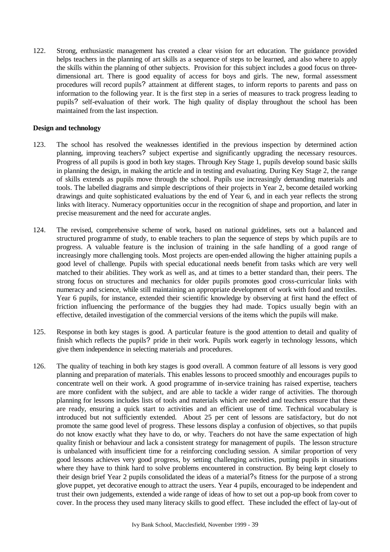122. Strong, enthusiastic management has created a clear vision for art education. The guidance provided helps teachers in the planning of art skills as a sequence of steps to be learned, and also where to apply the skills within the planning of other subjects. Provision for this subject includes a good focus on threedimensional art. There is good equality of access for boys and girls. The new, formal assessment procedures will record pupils? attainment at different stages, to inform reports to parents and pass on information to the following year. It is the first step in a series of measures to track progress leading to pupils? self-evaluation of their work. The high quality of display throughout the school has been maintained from the last inspection.

#### **Design and technology**

- 123. The school has resolved the weaknesses identified in the previous inspection by determined action planning, improving teachers? subject expertise and significantly upgrading the necessary resources. Progress of all pupils is good in both key stages. Through Key Stage 1, pupils develop sound basic skills in planning the design, in making the article and in testing and evaluating. During Key Stage 2, the range of skills extends as pupils move through the school. Pupils use increasingly demanding materials and tools. The labelled diagrams and simple descriptions of their projects in Year 2, become detailed working drawings and quite sophisticated evaluations by the end of Year 6, and in each year reflects the strong links with literacy. Numeracy opportunities occur in the recognition of shape and proportion, and later in precise measurement and the need for accurate angles.
- 124. The revised, comprehensive scheme of work, based on national guidelines, sets out a balanced and structured programme of study, to enable teachers to plan the sequence of steps by which pupils are to progress. A valuable feature is the inclusion of training in the safe handling of a good range of increasingly more challenging tools. Most projects are open-ended allowing the higher attaining pupils a good level of challenge. Pupils with special educational needs benefit from tasks which are very well matched to their abilities. They work as well as, and at times to a better standard than, their peers. The strong focus on structures and mechanics for older pupils promotes good cross-curricular links with numeracy and science, while still maintaining an appropriate development of work with food and textiles. Year 6 pupils, for instance, extended their scientific knowledge by observing at first hand the effect of friction influencing the performance of the buggies they had made. Topics usually begin with an effective, detailed investigation of the commercial versions of the items which the pupils will make.
- 125. Response in both key stages is good. A particular feature is the good attention to detail and quality of finish which reflects the pupils? pride in their work. Pupils work eagerly in technology lessons, which give them independence in selecting materials and procedures.
- 126. The quality of teaching in both key stages is good overall. A common feature of all lessons is very good planning and preparation of materials. This enables lessons to proceed smoothly and encourages pupils to concentrate well on their work. A good programme of in-service training has raised expertise, teachers are more confident with the subject, and are able to tackle a wider range of activities. The thorough planning for lessons includes lists of tools and materials which are needed and teachers ensure that these are ready, ensuring a quick start to activities and an efficient use of time. Technical vocabulary is introduced but not sufficiently extended. About 25 per cent of lessons are satisfactory, but do not promote the same good level of progress. These lessons display a confusion of objectives, so that pupils do not know exactly what they have to do, or why. Teachers do not have the same expectation of high quality finish or behaviour and lack a consistent strategy for management of pupils. The lesson structure is unbalanced with insufficient time for a reinforcing concluding session. A similar proportion of very good lessons achieves very good progress, by setting challenging activities, putting pupils in situations where they have to think hard to solve problems encountered in construction. By being kept closely to their design brief Year 2 pupils consolidated the ideas of a material?s fitness for the purpose of a strong glove puppet, yet decorative enough to attract the users. Year 4 pupils, encouraged to be independent and trust their own judgements, extended a wide range of ideas of how to set out a pop-up book from cover to cover. In the process they used many literacy skills to good effect. These included the effect of lay-out of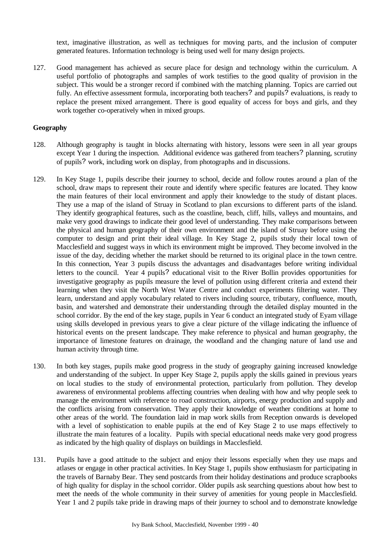text, imaginative illustration, as well as techniques for moving parts, and the inclusion of computer generated features. Information technology is being used well for many design projects.

127. Good management has achieved as secure place for design and technology within the curriculum. A useful portfolio of photographs and samples of work testifies to the good quality of provision in the subject. This would be a stronger record if combined with the matching planning. Topics are carried out fully. An effective assessment formula, incorporating both teachers? and pupils? evaluations, is ready to replace the present mixed arrangement. There is good equality of access for boys and girls, and they work together co-operatively when in mixed groups.

#### **Geography**

- 128. Although geography is taught in blocks alternating with history, lessons were seen in all year groups except Year 1 during the inspection. Additional evidence was gathered from teachers? planning, scrutiny of pupils? work, including work on display, from photographs and in discussions.
- 129. In Key Stage 1, pupils describe their journey to school, decide and follow routes around a plan of the school, draw maps to represent their route and identify where specific features are located. They know the main features of their local environment and apply their knowledge to the study of distant places. They use a map of the island of Struay in Scotland to plan excursions to different parts of the island. They identify geographical features, such as the coastline, beach, cliff, hills, valleys and mountains, and make very good drawings to indicate their good level of understanding. They make comparisons between the physical and human geography of their own environment and the island of Struay before using the computer to design and print their ideal village. In Key Stage 2, pupils study their local town of Macclesfield and suggest ways in which its environment might be improved. They become involved in the issue of the day, deciding whether the market should be returned to its original place in the town centre. In this connection, Year 3 pupils discuss the advantages and disadvantages before writing individual letters to the council. Year 4 pupils? educational visit to the River Bollin provides opportunities for investigative geography as pupils measure the level of pollution using different criteria and extend their learning when they visit the North West Water Centre and conduct experiments filtering water. They learn, understand and apply vocabulary related to rivers including source, tributary, confluence, mouth, basin, and watershed and demonstrate their understanding through the detailed display mounted in the school corridor. By the end of the key stage, pupils in Year 6 conduct an integrated study of Eyam village using skills developed in previous years to give a clear picture of the village indicating the influence of historical events on the present landscape. They make reference to physical and human geography, the importance of limestone features on drainage, the woodland and the changing nature of land use and human activity through time.
- 130. In both key stages, pupils make good progress in the study of geography gaining increased knowledge and understanding of the subject. In upper Key Stage 2, pupils apply the skills gained in previous years on local studies to the study of environmental protection, particularly from pollution. They develop awareness of environmental problems affecting countries when dealing with how and why people seek to manage the environment with reference to road construction, airports, energy production and supply and the conflicts arising from conservation. They apply their knowledge of weather conditions at home to other areas of the world. The foundation laid in map work skills from Reception onwards is developed with a level of sophistication to enable pupils at the end of Key Stage 2 to use maps effectively to illustrate the main features of a locality. Pupils with special educational needs make very good progress as indicated by the high quality of displays on buildings in Macclesfield.
- 131. Pupils have a good attitude to the subject and enjoy their lessons especially when they use maps and atlases or engage in other practical activities. In Key Stage 1, pupils show enthusiasm for participating in the travels of Barnaby Bear. They send postcards from their holiday destinations and produce scrapbooks of high quality for display in the school corridor. Older pupils ask searching questions about how best to meet the needs of the whole community in their survey of amenities for young people in Macclesfield. Year 1 and 2 pupils take pride in drawing maps of their journey to school and to demonstrate knowledge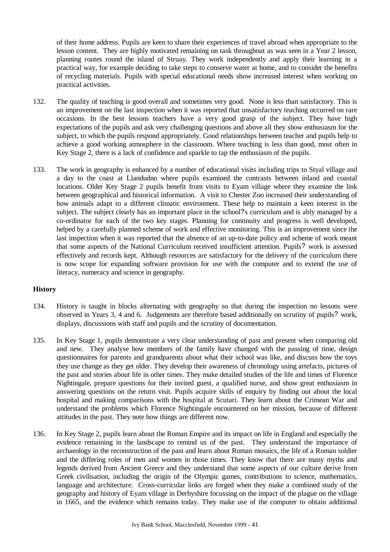of their home address. Pupils are keen to share their experiences of travel abroad when appropriate to the lesson content. They are highly motivated remaining on task throughout as was seen in a Year 2 lesson, planning routes round the island of Struay. They work independently and apply their learning in a practical way, for example deciding to take steps to conserve water at home, and to consider the benefits of recycling materials. Pupils with special educational needs show increased interest when working on practical activities.

- 132. The quality of teaching is good overall and sometimes very good. None is less than satisfactory. This is an improvement on the last inspection when it was reported that unsatisfactory teaching occurred on rare occasions. In the best lessons teachers have a very good grasp of the subject. They have high expectations of the pupils and ask very challenging questions and above all they show enthusiasm for the subject, to which the pupils respond appropriately. Good relationships between teacher and pupils help to achieve a good working atmosphere in the classroom. Where teaching is less than good, most often in Key Stage 2, there is a lack of confidence and sparkle to tap the enthusiasm of the pupils.
- 133. The work in geography is enhanced by a number of educational visits including trips to Styal village and a day to the coast at Llandudno where pupils examined the contrasts between inland and coastal locations. Older Key Stage 2 pupils benefit from visits to Eyam village where they examine the link between geographical and historical information. A visit to Chester Zoo increased their understanding of how animals adapt to a different climatic environment. These help to maintain a keen interest in the subject. The subject clearly has an important place in the school?s curriculum and is ably managed by a co-ordinator for each of the two key stages. Planning for continuity and progress is well developed, helped by a carefully planned scheme of work and effective monitoring. This is an improvement since the last inspection when it was reported that the absence of an up-to-date policy and scheme of work meant that some aspects of the National Curriculum received insufficient attention. Pupils? work is assessed effectively and records kept. Although resources are satisfactory for the delivery of the curriculum there is now scope for expanding software provision for use with the computer and to extend the use of literacy, numeracy and science in geography.

#### **History**

- 134. History is taught in blocks alternating with geography so that during the inspection no lessons were observed in Years 3, 4 and 6. Judgements are therefore based additionally on scrutiny of pupils? work, displays, discussions with staff and pupils and the scrutiny of documentation.
- 135. In Key Stage 1, pupils demonstrate a very clear understanding of past and present when comparing old and new. They analyse how members of the family have changed with the passing of time, design questionnaires for parents and grandparents about what their school was like, and discuss how the toys they use change as they get older. They develop their awareness of chronology using artefacts, pictures of the past and stories about life in other times. They make detailed studies of the life and times of Florence Nightingale, prepare questions for their invited guest, a qualified nurse, and show great enthusiasm in answering questions on the return visit. Pupils acquire skills of enquiry by finding out about the local hospital and making comparisons with the hospital at Scutari. They learn about the Crimean War and understand the problems which Florence Nightingale encountered on her mission, because of different attitudes in the past. They note how things are different now.
- 136. In Key Stage 2, pupils learn about the Roman Empire and its impact on life in England and especially the evidence remaining in the landscape to remind us of the past. They understand the importance of archaeology in the reconstruction of the past and learn about Roman mosaics, the life of a Roman soldier and the differing roles of men and women in those times. They know that there are many myths and legends derived from Ancient Greece and they understand that some aspects of our culture derive from Greek civilisation, including the origin of the Olympic games, contributions to science, mathematics, language and architecture. Cross-curricular links are forged when they make a combined study of the geography and history of Eyam village in Derbyshire focussing on the impact of the plague on the village in 1665, and the evidence which remains today. They make use of the computer to obtain additional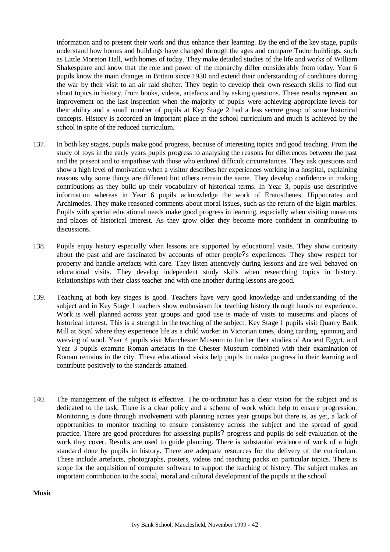information and to present their work and thus enhance their learning. By the end of the key stage, pupils understand how homes and buildings have changed through the ages and compare Tudor buildings, such as Little Moreton Hall, with homes of today. They make detailed studies of the life and works of William Shakespeare and know that the role and power of the monarchy differ considerably from today. Year 6 pupils know the main changes in Britain since 1930 and extend their understanding of conditions during the war by their visit to an air raid shelter. They begin to develop their own research skills to find out about topics in history, from books, videos, artefacts and by asking questions. These results represent an improvement on the last inspection when the majority of pupils were achieving appropriate levels for their ability and a small number of pupils at Key Stage 2 had a less secure grasp of some historical concepts. History is accorded an important place in the school curriculum and much is achieved by the school in spite of the reduced curriculum.

- 137. In both key stages, pupils make good progress, because of interesting topics and good teaching. From the study of toys in the early years pupils progress to analysing the reasons for differences between the past and the present and to empathise with those who endured difficult circumstances. They ask questions and show a high level of motivation when a visitor describes her experiences working in a hospital, explaining reasons why some things are different but others remain the same. They develop confidence in making contributions as they build up their vocabulary of historical terms. In Year 3, pupils use descriptive information whereas in Year 6 pupils acknowledge the work of Eratosthenes, Hippocrates and Archimedes. They make reasoned comments about moral issues, such as the return of the Elgin marbles. Pupils with special educational needs make good progress in learning, especially when visiting museums and places of historical interest. As they grow older they become more confident in contributing to discussions.
- 138. Pupils enjoy history especially when lessons are supported by educational visits. They show curiosity about the past and are fascinated by accounts of other people?s experiences. They show respect for property and handle artefacts with care. They listen attentively during lessons and are well behaved on educational visits. They develop independent study skills when researching topics in history. Relationships with their class teacher and with one another during lessons are good.
- 139. Teaching at both key stages is good. Teachers have very good knowledge and understanding of the subject and in Key Stage 1 teachers show enthusiasm for teaching history through hands on experience. Work is well planned across year groups and good use is made of visits to museums and places of historical interest. This is a strength in the teaching of the subject. Key Stage 1 pupils visit Quarry Bank Mill at Styal where they experience life as a child worker in Victorian times, doing carding, spinning and weaving of wool. Year 4 pupils visit Manchester Museum to further their studies of Ancient Egypt, and Year 3 pupils examine Roman artefacts in the Chester Museum combined with their examination of Roman remains in the city. These educational visits help pupils to make progress in their learning and contribute positively to the standards attained.
- 140. The management of the subject is effective. The co-ordinator has a clear vision for the subject and is dedicated to the task. There is a clear policy and a scheme of work which help to ensure progression. Monitoring is done through involvement with planning across year groups but there is, as yet, a lack of opportunities to monitor teaching to ensure consistency across the subject and the spread of good practice. There are good procedures for assessing pupils? progress and pupils do self-evaluation of the work they cover. Results are used to guide planning. There is substantial evidence of work of a high standard done by pupils in history. There are adequate resources for the delivery of the curriculum. These include artefacts, photographs, posters, videos and teaching packs on particular topics. There is scope for the acquisition of computer software to support the teaching of history. The subject makes an important contribution to the social, moral and cultural development of the pupils in the school.

#### **Music**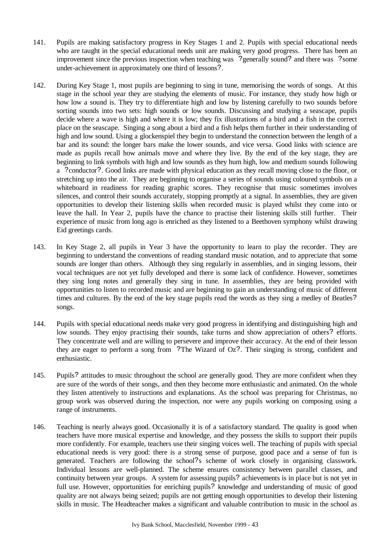- 141. Pupils are making satisfactory progress in Key Stages 1 and 2. Pupils with special educational needs who are taught in the special educational needs unit are making very good progress. There has been an improvement since the previous inspection when teaching was ?generally sound? and there was ?some under-achievement in approximately one third of lessons?.
- 142. During Key Stage 1, most pupils are beginning to sing in tune, memorising the words of songs. At this stage in the school year they are studying the elements of music. For instance, they study how high or how low a sound is. They try to differentiate high and low by listening carefully to two sounds before sorting sounds into two sets: high sounds or low sounds. Discussing and studying a seascape, pupils decide where a wave is high and where it is low; they fix illustrations of a bird and a fish in the correct place on the seascape. Singing a song about a bird and a fish helps them further in their understanding of high and low sound. Using a glockenspiel they begin to understand the connection between the length of a bar and its sound: the longer bars make the lower sounds, and vice versa. Good links with science are made as pupils recall how animals move and where they live. By the end of the key stage, they are beginning to link symbols with high and low sounds as they hum high, low and medium sounds following a ?conductor?. Good links are made with physical education as they recall moving close to the floor, or stretching up into the air. They are beginning to organise a series of sounds using coloured symbols on a whiteboard in readiness for reading graphic scores. They recognise that music sometimes involves silences, and control their sounds accurately, stopping promptly at a signal. In assemblies, they are given opportunities to develop their listening skills when recorded music is played whilst they come into or leave the hall. In Year 2, pupils have the chance to practise their listening skills still further. Their experience of music from long ago is enriched as they listened to a Beethoven symphony whilst drawing Eid greetings cards.
- 143. In Key Stage 2, all pupils in Year 3 have the opportunity to learn to play the recorder. They are beginning to understand the conventions of reading standard music notation, and to appreciate that some sounds are longer than others. Although they sing regularly in assemblies, and in singing lessons, their vocal techniques are not yet fully developed and there is some lack of confidence. However, sometimes they sing long notes and generally they sing in tune. In assemblies, they are being provided with opportunities to listen to recorded music and are beginning to gain an understanding of music of different times and cultures. By the end of the key stage pupils read the words as they sing a medley of Beatles? songs.
- 144. Pupils with special educational needs make very good progress in identifying and distinguishing high and low sounds. They enjoy practising their sounds, take turns and show appreciation of others? efforts. They concentrate well and are willing to persevere and improve their accuracy. At the end of their lesson they are eager to perform a song from ?The Wizard of Oz?. Their singing is strong, confident and enthusiastic.
- 145. Pupils? attitudes to music throughout the school are generally good. They are more confident when they are sure of the words of their songs, and then they become more enthusiastic and animated. On the whole they listen attentively to instructions and explanations. As the school was preparing for Christmas, no group work was observed during the inspection, nor were any pupils working on composing using a range of instruments.
- 146. Teaching is nearly always good. Occasionally it is of a satisfactory standard. The quality is good when teachers have more musical expertise and knowledge, and they possess the skills to support their pupils more confidently. For example, teachers use their singing voices well. The teaching of pupils with special educational needs is very good: there is a strong sense of purpose, good pace and a sense of fun is generated. Teachers are following the school?s scheme of work closely in organising classwork. Individual lessons are well-planned. The scheme ensures consistency between parallel classes, and continuity between year groups. A system for assessing pupils? achievements is in place but is not yet in full use. However, opportunities for enriching pupils? knowledge and understanding of music of good quality are not always being seized; pupils are not getting enough opportunities to develop their listening skills in music. The Headteacher makes a significant and valuable contribution to music in the school as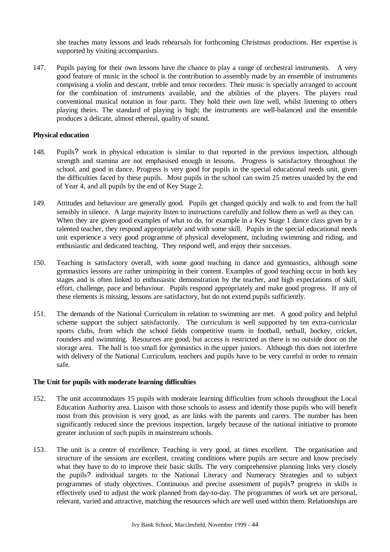she teaches many lessons and leads rehearsals for forthcoming Christmas productions. Her expertise is supported by visiting accompanists.

147. Pupils paying for their own lessons have the chance to play a range of orchestral instruments. A very good feature of music in the school is the contribution to assembly made by an ensemble of instruments comprising a violin and descant, treble and tenor recorders. Their music is specially arranged to account for the combination of instruments available, and the abilities of the players. The players read conventional musical notation in four parts. They hold their own line well, whilst listening to others playing theirs. The standard of playing is high; the instruments are well-balanced and the ensemble produces a delicate, almost ethereal, quality of sound.

#### **Physical education**

- 148. Pupils? work in physical education is similar to that reported in the previous inspection, although strength and stamina are not emphasised enough in lessons. Progress is satisfactory throughout the school, and good in dance. Progress is very good for pupils in the special educational needs unit, given the difficulties faced by these pupils. Most pupils in the school can swim 25 metres unaided by the end of Year 4, and all pupils by the end of Key Stage 2.
- 149. Attitudes and behaviour are generally good. Pupils get changed quickly and walk to and from the hall sensibly in silence. A large majority listen to instructions carefully and follow them as well as they can. When they are given good examples of what to do, for example in a Key Stage 1 dance class given by a talented teacher, they respond appropriately and with some skill. Pupils in the special educational needs unit experience a very good programme of physical development, including swimming and riding, and enthusiastic and dedicated teaching. They respond well, and enjoy their successes.
- 150. Teaching is satisfactory overall, with some good teaching in dance and gymnastics, although some gymnastics lessons are rather uninspiring in their content. Examples of good teaching occur in both key stages and is often linked to enthusiastic demonstration by the teacher, and high expectations of skill, effort, challenge, pace and behaviour. Pupils respond appropriately and make good progress. If any of these elements is missing, lessons are satisfactory, but do not extend pupils sufficiently.
- 151. The demands of the National Curriculum in relation to swimming are met. A good policy and helpful scheme support the subject satisfactorily. The curriculum is well supported by ten extra-curricular sports clubs, from which the school fields competitive teams in football, netball, hockey, cricket, rounders and swimming. Resources are good, but access is restricted as there is no outside door on the storage area. The hall is too small for gymnastics in the upper juniors. Although this does not interfere with delivery of the National Curriculum, teachers and pupils have to be very careful in order to remain safe.

#### **The Unit for pupils with moderate learning difficulties**

- 152. The unit accommodates 15 pupils with moderate learning difficulties from schools throughout the Local Education Authority area. Liaison with those schools to assess and identify those pupils who will benefit most from this provision is very good, as are links with the parents and carers. The number has been significantly reduced since the previous inspection, largely because of the national initiative to promote greater inclusion of such pupils in mainstream schools.
- 153. The unit is a centre of excellence. Teaching is very good, at times excellent. The organisation and structure of the sessions are excellent, creating conditions where pupils are secure and know precisely what they have to do to improve their basic skills. The very comprehensive planning links very closely the pupils? individual targets to the National Literacy and Numeracy Strategies and to subject programmes of study objectives. Continuous and precise assessment of pupils? progress in skills is effectively used to adjust the work planned from day-to-day. The programmes of work set are personal, relevant, varied and attractive, matching the resources which are well used within them. Relationships are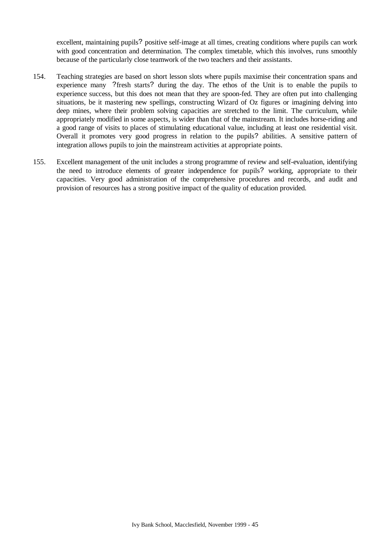excellent, maintaining pupils? positive self-image at all times, creating conditions where pupils can work with good concentration and determination. The complex timetable, which this involves, runs smoothly because of the particularly close teamwork of the two teachers and their assistants.

- 154. Teaching strategies are based on short lesson slots where pupils maximise their concentration spans and experience many ?fresh starts? during the day. The ethos of the Unit is to enable the pupils to experience success, but this does not mean that they are spoon-fed. They are often put into challenging situations, be it mastering new spellings, constructing Wizard of Oz figures or imagining delving into deep mines, where their problem solving capacities are stretched to the limit. The curriculum, while appropriately modified in some aspects, is wider than that of the mainstream. It includes horse-riding and a good range of visits to places of stimulating educational value, including at least one residential visit. Overall it promotes very good progress in relation to the pupils? abilities. A sensitive pattern of integration allows pupils to join the mainstream activities at appropriate points.
- 155. Excellent management of the unit includes a strong programme of review and self-evaluation, identifying the need to introduce elements of greater independence for pupils? working, appropriate to their capacities. Very good administration of the comprehensive procedures and records, and audit and provision of resources has a strong positive impact of the quality of education provided.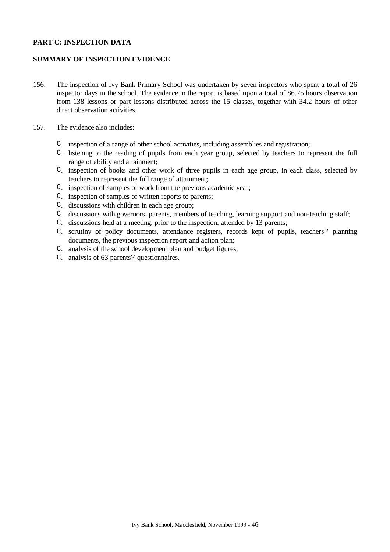## **PART C: INSPECTION DATA**

## **SUMMARY OF INSPECTION EVIDENCE**

- 156. The inspection of Ivy Bank Primary School was undertaken by seven inspectors who spent a total of 26 inspector days in the school. The evidence in the report is based upon a total of 86.75 hours observation from 138 lessons or part lessons distributed across the 15 classes, together with 34.2 hours of other direct observation activities.
- 157. The evidence also includes:
	- C. inspection of a range of other school activities, including assemblies and registration;
	- C. listening to the reading of pupils from each year group, selected by teachers to represent the full range of ability and attainment;
	- C. inspection of books and other work of three pupils in each age group, in each class, selected by teachers to represent the full range of attainment;
	- C. inspection of samples of work from the previous academic year;
	- C. inspection of samples of written reports to parents;
	- C. discussions with children in each age group;
	- C. discussions with governors, parents, members of teaching, learning support and non-teaching staff;
	- C. discussions held at a meeting, prior to the inspection, attended by 13 parents;
	- C. scrutiny of policy documents, attendance registers, records kept of pupils, teachers? planning documents, the previous inspection report and action plan;
	- C. analysis of the school development plan and budget figures;
	- C. analysis of 63 parents? questionnaires.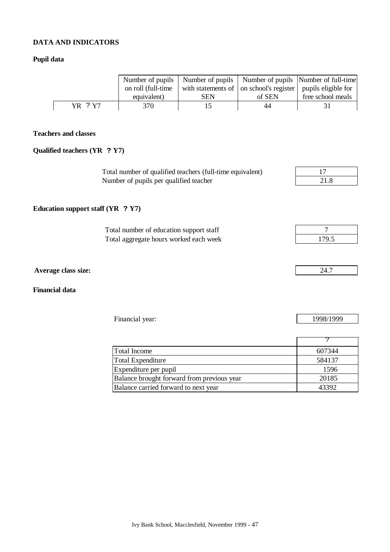## **DATA AND INDICATORS**

## **Pupil data**

|         |                    |     |                                                                 | Number of pupils   Number of pupils   Number of pupils   Number of full-time |
|---------|--------------------|-----|-----------------------------------------------------------------|------------------------------------------------------------------------------|
|         | on roll (full-time |     | with statements of   on school's register   pupils eligible for |                                                                              |
|         | equivalent)        | SEN | of SEN                                                          | free school meals                                                            |
| YR ? Y7 | 370                |     | 44                                                              |                                                                              |

# **Teachers and classes**

# **Qualified teachers (YR ? Y7)**

| Total number of qualified teachers (full-time equivalent) |      |
|-----------------------------------------------------------|------|
| Number of pupils per qualified teacher                    | 21.8 |

## **Education support staff (YR ? Y7)**

| Total number of education support staff |       |
|-----------------------------------------|-------|
| Total aggregate hours worked each week  | 179.5 |

**Average class size:** 24.7

## **Financial data**

| Financial year:                            | 1998/1999 |
|--------------------------------------------|-----------|
|                                            |           |
|                                            |           |
| <b>Total Income</b>                        | 607344    |
| Total Expenditure                          | 584137    |
| Expenditure per pupil                      | 1596      |
| Balance brought forward from previous year | 20185     |
| Balance carried forward to next year       | 43392     |